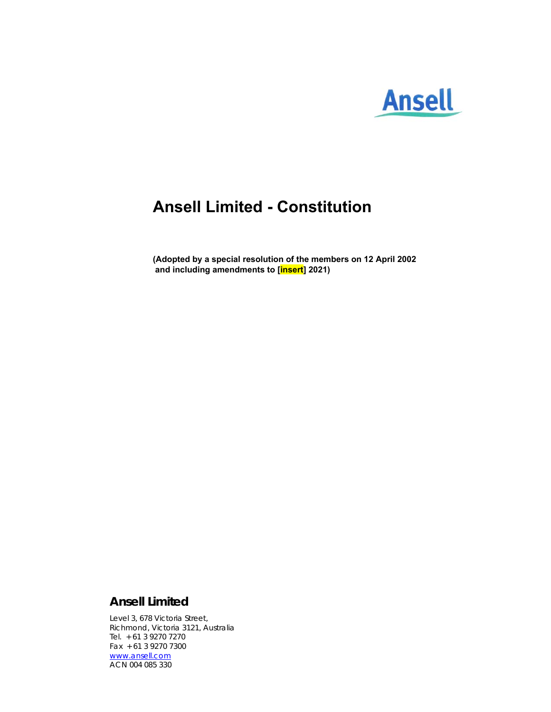

# **Ansell Limited - Constitution**

**(Adopted by a special resolution of the members on 12 April 2002 and including amendments to [insert] 2021)** 

# **Ansell Limited**

Level 3, 678 Victoria Street, Richmond, Victoria 3121, Australia Tel. + 61 3 9270 7270 Fax + 61 3 9270 7300 www.ansell.com ACN 004 085 330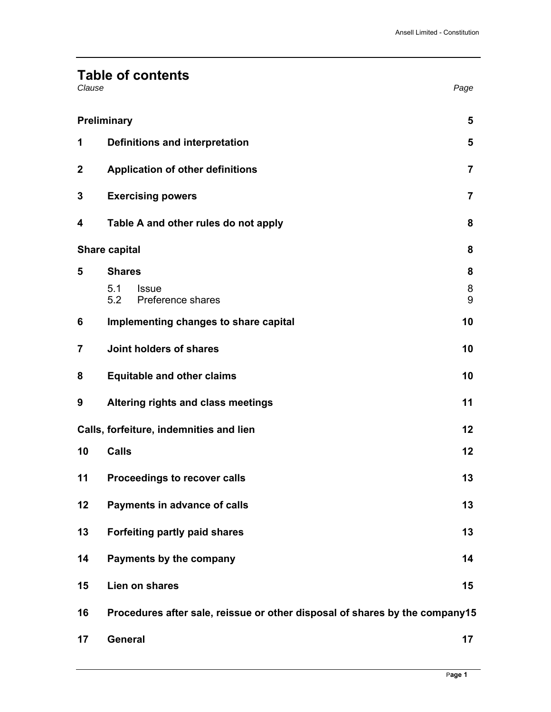# **Table of contents**

| Clause | Page |
|--------|------|
|--------|------|

|                  | Preliminary                                                                 | 5              |
|------------------|-----------------------------------------------------------------------------|----------------|
| 1                | Definitions and interpretation                                              | 5              |
| $\boldsymbol{2}$ | <b>Application of other definitions</b>                                     | $\overline{7}$ |
| 3                | <b>Exercising powers</b>                                                    | $\overline{7}$ |
| 4                | Table A and other rules do not apply                                        | 8              |
|                  | <b>Share capital</b>                                                        | 8              |
| 5                | <b>Shares</b>                                                               | 8              |
|                  | 5.1<br><b>Issue</b><br>5.2<br>Preference shares                             | 8<br>9         |
| 6                | Implementing changes to share capital                                       | 10             |
| $\overline{7}$   | Joint holders of shares                                                     | 10             |
| 8                | <b>Equitable and other claims</b>                                           | 10             |
| 9                | Altering rights and class meetings                                          | 11             |
|                  | Calls, forfeiture, indemnities and lien                                     | 12             |
| 10               | <b>Calls</b>                                                                | 12             |
| 11               | Proceedings to recover calls                                                | 13             |
| 12               | Payments in advance of calls                                                | 13             |
| 13               | Forfeiting partly paid shares                                               | 13             |
| 14               | Payments by the company                                                     | 14             |
| 15               | Lien on shares                                                              | 15             |
| 16               | Procedures after sale, reissue or other disposal of shares by the company15 |                |

**General 17**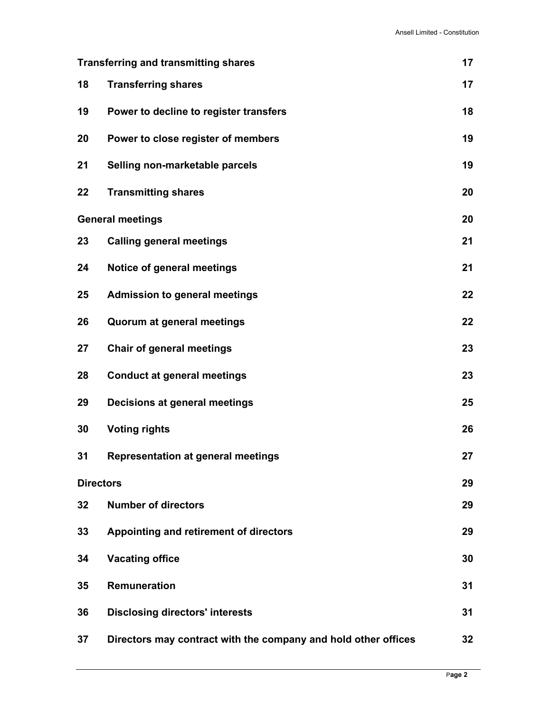| <b>Transferring and transmitting shares</b> |                                                                | 17 |
|---------------------------------------------|----------------------------------------------------------------|----|
| 18                                          | <b>Transferring shares</b>                                     | 17 |
| 19                                          | Power to decline to register transfers                         | 18 |
| 20                                          | Power to close register of members                             | 19 |
| 21                                          | Selling non-marketable parcels                                 | 19 |
| 22                                          | <b>Transmitting shares</b>                                     | 20 |
|                                             | <b>General meetings</b>                                        | 20 |
| 23                                          | <b>Calling general meetings</b>                                | 21 |
| 24                                          | Notice of general meetings                                     | 21 |
| 25                                          | <b>Admission to general meetings</b>                           | 22 |
| 26                                          | Quorum at general meetings                                     | 22 |
| 27                                          | <b>Chair of general meetings</b>                               | 23 |
| 28                                          | <b>Conduct at general meetings</b>                             | 23 |
| 29                                          | Decisions at general meetings                                  | 25 |
| 30                                          | <b>Voting rights</b>                                           | 26 |
| 31                                          | <b>Representation at general meetings</b>                      | 27 |
| <b>Directors</b>                            |                                                                | 29 |
| 32                                          | <b>Number of directors</b>                                     | 29 |
| 33                                          | Appointing and retirement of directors                         | 29 |
| 34                                          | <b>Vacating office</b>                                         | 30 |
| 35                                          | Remuneration                                                   | 31 |
| 36                                          | <b>Disclosing directors' interests</b>                         | 31 |
| 37                                          | Directors may contract with the company and hold other offices | 32 |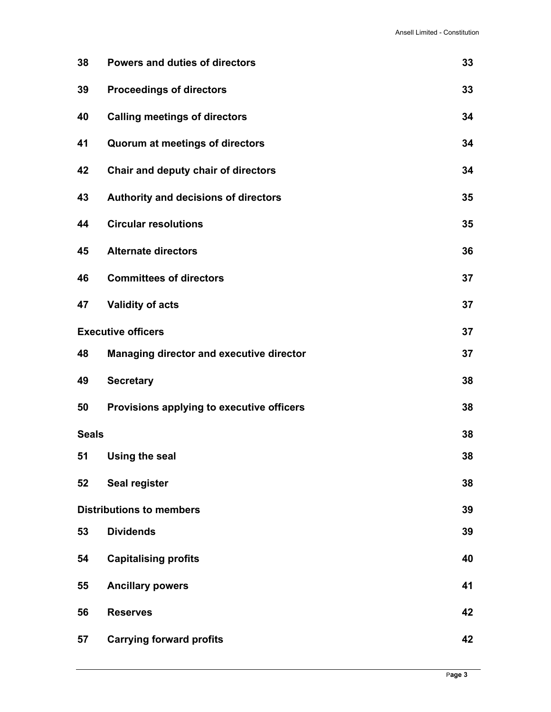| 38                        | <b>Powers and duties of directors</b>           | 33 |
|---------------------------|-------------------------------------------------|----|
| 39                        | <b>Proceedings of directors</b>                 | 33 |
| 40                        | <b>Calling meetings of directors</b>            | 34 |
| 41                        | <b>Quorum at meetings of directors</b>          | 34 |
| 42                        | Chair and deputy chair of directors             | 34 |
| 43                        | Authority and decisions of directors            | 35 |
| 44                        | <b>Circular resolutions</b>                     | 35 |
| 45                        | <b>Alternate directors</b>                      | 36 |
| 46                        | <b>Committees of directors</b>                  | 37 |
| 47                        | <b>Validity of acts</b>                         | 37 |
| <b>Executive officers</b> |                                                 | 37 |
| 48                        | <b>Managing director and executive director</b> | 37 |
| 49                        | <b>Secretary</b>                                | 38 |
| 50                        | Provisions applying to executive officers       | 38 |
| <b>Seals</b>              |                                                 | 38 |
| 51                        | <b>Using the seal</b>                           | 38 |
| 52                        | Seal register                                   | 38 |
|                           | <b>Distributions to members</b>                 | 39 |
| 53                        | <b>Dividends</b>                                | 39 |
| 54                        | <b>Capitalising profits</b>                     | 40 |
| 55                        | <b>Ancillary powers</b>                         | 41 |
| 56                        | <b>Reserves</b>                                 | 42 |
| 57                        | <b>Carrying forward profits</b>                 | 42 |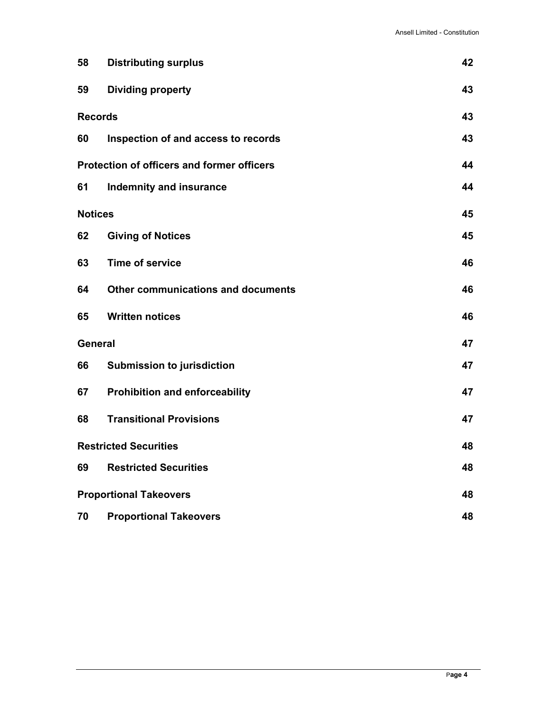| 58                           | <b>Distributing surplus</b>                       | 42 |
|------------------------------|---------------------------------------------------|----|
| 59                           | <b>Dividing property</b>                          | 43 |
| <b>Records</b>               |                                                   | 43 |
| 60                           | Inspection of and access to records               | 43 |
|                              | <b>Protection of officers and former officers</b> | 44 |
| 61                           | Indemnity and insurance                           | 44 |
| <b>Notices</b>               |                                                   | 45 |
| 62                           | <b>Giving of Notices</b>                          | 45 |
| 63                           | <b>Time of service</b>                            | 46 |
| 64                           | Other communications and documents                | 46 |
| 65                           | <b>Written notices</b>                            | 46 |
| <b>General</b>               |                                                   | 47 |
| 66                           | <b>Submission to jurisdiction</b>                 | 47 |
| 67                           | <b>Prohibition and enforceability</b>             | 47 |
| 68                           | <b>Transitional Provisions</b>                    | 47 |
| <b>Restricted Securities</b> |                                                   | 48 |
| 69                           | <b>Restricted Securities</b>                      | 48 |
|                              | <b>Proportional Takeovers</b>                     |    |
| 70                           | <b>Proportional Takeovers</b>                     | 48 |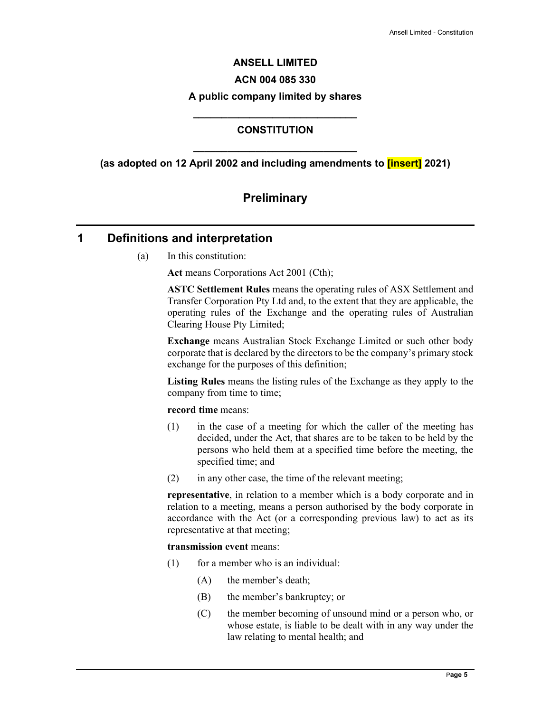# **ANSELL LIMITED ACN 004 085 330 A public company limited by shares**

# **\_\_\_\_\_\_\_\_\_\_\_\_\_\_\_\_\_\_\_\_\_\_\_\_\_\_\_\_\_ CONSTITUTION**

**\_\_\_\_\_\_\_\_\_\_\_\_\_\_\_\_\_\_\_\_\_\_\_\_\_\_\_\_\_ (as adopted on 12 April 2002 and including amendments to [insert] 2021)** 

# **Preliminary**

# **1 Definitions and interpretation**

(a) In this constitution:

**Act** means Corporations Act 2001 (Cth);

**ASTC Settlement Rules** means the operating rules of ASX Settlement and Transfer Corporation Pty Ltd and, to the extent that they are applicable, the operating rules of the Exchange and the operating rules of Australian Clearing House Pty Limited;

**Exchange** means Australian Stock Exchange Limited or such other body corporate that is declared by the directors to be the company's primary stock exchange for the purposes of this definition;

**Listing Rules** means the listing rules of the Exchange as they apply to the company from time to time;

#### **record time** means:

- (1) in the case of a meeting for which the caller of the meeting has decided, under the Act, that shares are to be taken to be held by the persons who held them at a specified time before the meeting, the specified time; and
- (2) in any other case, the time of the relevant meeting;

**representative**, in relation to a member which is a body corporate and in relation to a meeting, means a person authorised by the body corporate in accordance with the Act (or a corresponding previous law) to act as its representative at that meeting;

#### **transmission event** means:

- $(1)$  for a member who is an individual:
	- (A) the member's death;
	- (B) the member's bankruptcy; or
	- (C) the member becoming of unsound mind or a person who, or whose estate, is liable to be dealt with in any way under the law relating to mental health; and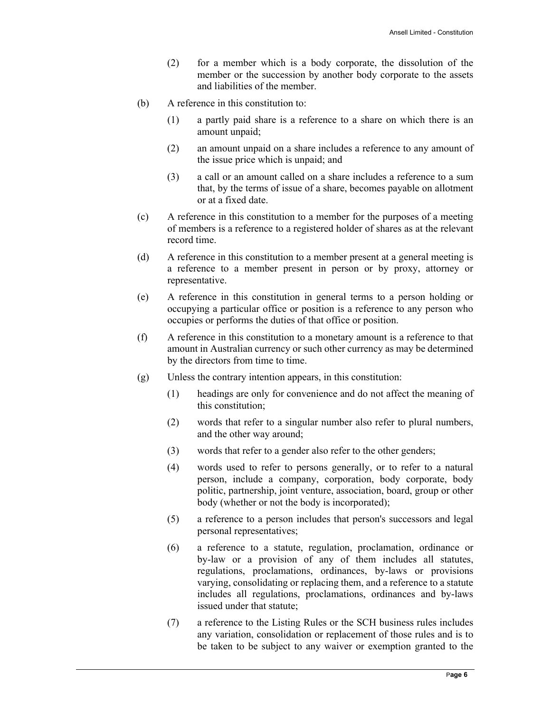- (2) for a member which is a body corporate, the dissolution of the member or the succession by another body corporate to the assets and liabilities of the member.
- (b) A reference in this constitution to:
	- (1) a partly paid share is a reference to a share on which there is an amount unpaid;
	- (2) an amount unpaid on a share includes a reference to any amount of the issue price which is unpaid; and
	- (3) a call or an amount called on a share includes a reference to a sum that, by the terms of issue of a share, becomes payable on allotment or at a fixed date.
- (c) A reference in this constitution to a member for the purposes of a meeting of members is a reference to a registered holder of shares as at the relevant record time.
- (d) A reference in this constitution to a member present at a general meeting is a reference to a member present in person or by proxy, attorney or representative.
- (e) A reference in this constitution in general terms to a person holding or occupying a particular office or position is a reference to any person who occupies or performs the duties of that office or position.
- (f) A reference in this constitution to a monetary amount is a reference to that amount in Australian currency or such other currency as may be determined by the directors from time to time.
- (g) Unless the contrary intention appears, in this constitution:
	- (1) headings are only for convenience and do not affect the meaning of this constitution;
	- (2) words that refer to a singular number also refer to plural numbers, and the other way around;
	- (3) words that refer to a gender also refer to the other genders;
	- (4) words used to refer to persons generally, or to refer to a natural person, include a company, corporation, body corporate, body politic, partnership, joint venture, association, board, group or other body (whether or not the body is incorporated);
	- (5) a reference to a person includes that person's successors and legal personal representatives;
	- (6) a reference to a statute, regulation, proclamation, ordinance or by-law or a provision of any of them includes all statutes, regulations, proclamations, ordinances, by-laws or provisions varying, consolidating or replacing them, and a reference to a statute includes all regulations, proclamations, ordinances and by-laws issued under that statute;
	- (7) a reference to the Listing Rules or the SCH business rules includes any variation, consolidation or replacement of those rules and is to be taken to be subject to any waiver or exemption granted to the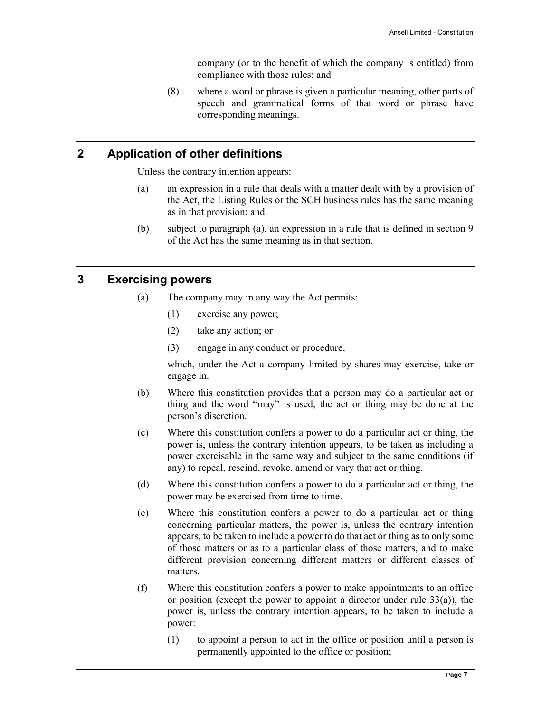company (or to the benefit of which the company is entitled) from compliance with those rules; and

(8) where a word or phrase is given a particular meaning, other parts of speech and grammatical forms of that word or phrase have corresponding meanings.

#### **2 Application of other definitions**

Unless the contrary intention appears:

- (a) an expression in a rule that deals with a matter dealt with by a provision of the Act, the Listing Rules or the SCH business rules has the same meaning as in that provision; and
- (b) subject to paragraph (a), an expression in a rule that is defined in section 9 of the Act has the same meaning as in that section.

#### **3 Exercising powers**

- (a) The company may in any way the Act permits:
	- (1) exercise any power;
	- (2) take any action; or
	- (3) engage in any conduct or procedure,

which, under the Act a company limited by shares may exercise, take or engage in.

- (b) Where this constitution provides that a person may do a particular act or thing and the word "may" is used, the act or thing may be done at the person's discretion.
- (c) Where this constitution confers a power to do a particular act or thing, the power is, unless the contrary intention appears, to be taken as including a power exercisable in the same way and subject to the same conditions (if any) to repeal, rescind, revoke, amend or vary that act or thing.
- (d) Where this constitution confers a power to do a particular act or thing, the power may be exercised from time to time.
- (e) Where this constitution confers a power to do a particular act or thing concerning particular matters, the power is, unless the contrary intention appears, to be taken to include a power to do that act or thing as to only some of those matters or as to a particular class of those matters, and to make different provision concerning different matters or different classes of matters.
- (f) Where this constitution confers a power to make appointments to an office or position (except the power to appoint a director under rule 33(a)), the power is, unless the contrary intention appears, to be taken to include a power:
	- (1) to appoint a person to act in the office or position until a person is permanently appointed to the office or position;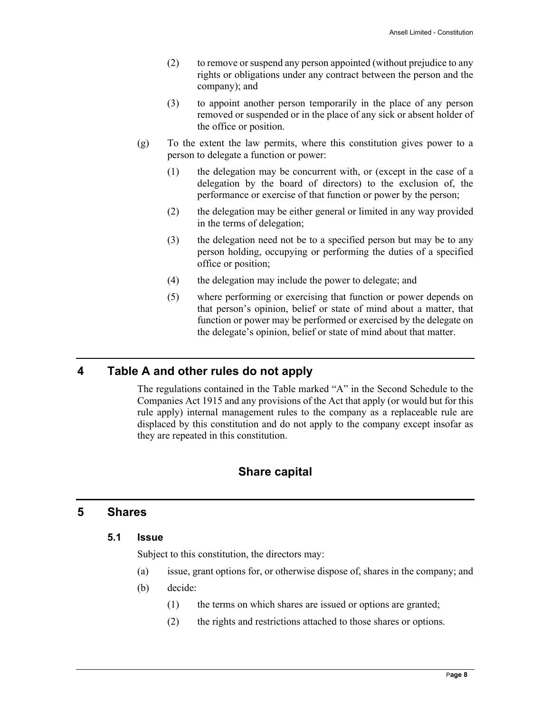- (2) to remove or suspend any person appointed (without prejudice to any rights or obligations under any contract between the person and the company); and
- (3) to appoint another person temporarily in the place of any person removed or suspended or in the place of any sick or absent holder of the office or position.
- (g) To the extent the law permits, where this constitution gives power to a person to delegate a function or power:
	- (1) the delegation may be concurrent with, or (except in the case of a delegation by the board of directors) to the exclusion of, the performance or exercise of that function or power by the person;
	- (2) the delegation may be either general or limited in any way provided in the terms of delegation;
	- (3) the delegation need not be to a specified person but may be to any person holding, occupying or performing the duties of a specified office or position;
	- (4) the delegation may include the power to delegate; and
	- (5) where performing or exercising that function or power depends on that person's opinion, belief or state of mind about a matter, that function or power may be performed or exercised by the delegate on the delegate's opinion, belief or state of mind about that matter.

# **4 Table A and other rules do not apply**

The regulations contained in the Table marked "A" in the Second Schedule to the Companies Act 1915 and any provisions of the Act that apply (or would but for this rule apply) internal management rules to the company as a replaceable rule are displaced by this constitution and do not apply to the company except insofar as they are repeated in this constitution.

# **Share capital**

#### **5 Shares**

#### **5.1 Issue**

Subject to this constitution, the directors may:

- (a) issue, grant options for, or otherwise dispose of, shares in the company; and
- (b) decide:
	- (1) the terms on which shares are issued or options are granted;
	- (2) the rights and restrictions attached to those shares or options.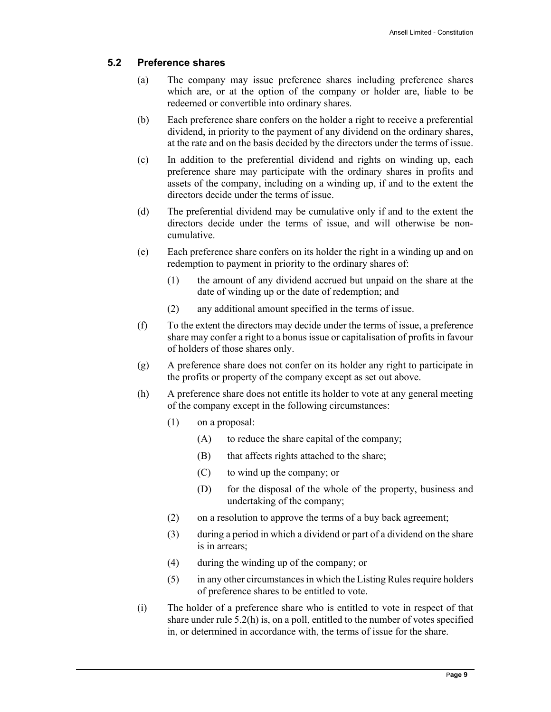#### **5.2 Preference shares**

- (a) The company may issue preference shares including preference shares which are, or at the option of the company or holder are, liable to be redeemed or convertible into ordinary shares.
- (b) Each preference share confers on the holder a right to receive a preferential dividend, in priority to the payment of any dividend on the ordinary shares, at the rate and on the basis decided by the directors under the terms of issue.
- (c) In addition to the preferential dividend and rights on winding up, each preference share may participate with the ordinary shares in profits and assets of the company, including on a winding up, if and to the extent the directors decide under the terms of issue.
- (d) The preferential dividend may be cumulative only if and to the extent the directors decide under the terms of issue, and will otherwise be noncumulative.
- (e) Each preference share confers on its holder the right in a winding up and on redemption to payment in priority to the ordinary shares of:
	- (1) the amount of any dividend accrued but unpaid on the share at the date of winding up or the date of redemption; and
	- (2) any additional amount specified in the terms of issue.
- (f) To the extent the directors may decide under the terms of issue, a preference share may confer a right to a bonus issue or capitalisation of profits in favour of holders of those shares only.
- (g) A preference share does not confer on its holder any right to participate in the profits or property of the company except as set out above.
- (h) A preference share does not entitle its holder to vote at any general meeting of the company except in the following circumstances:
	- (1) on a proposal:
		- (A) to reduce the share capital of the company;
		- (B) that affects rights attached to the share;
		- (C) to wind up the company; or
		- (D) for the disposal of the whole of the property, business and undertaking of the company;
	- (2) on a resolution to approve the terms of a buy back agreement;
	- (3) during a period in which a dividend or part of a dividend on the share is in arrears;
	- (4) during the winding up of the company; or
	- (5) in any other circumstances in which the Listing Rules require holders of preference shares to be entitled to vote.
- (i) The holder of a preference share who is entitled to vote in respect of that share under rule 5.2(h) is, on a poll, entitled to the number of votes specified in, or determined in accordance with, the terms of issue for the share.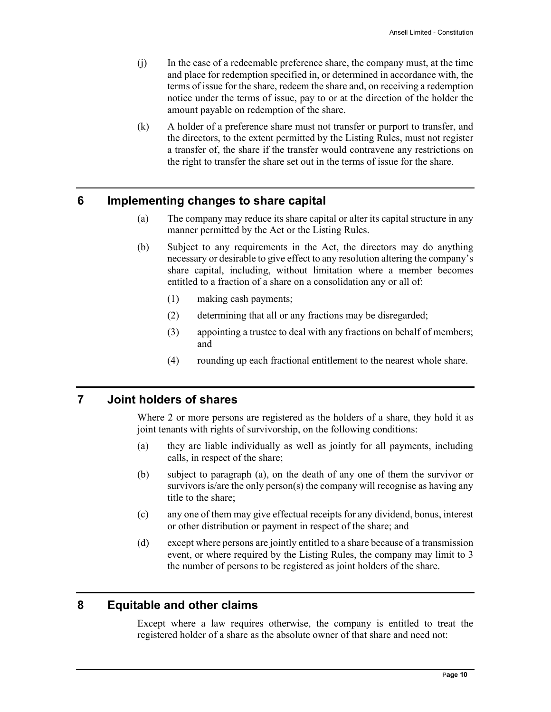- (j) In the case of a redeemable preference share, the company must, at the time and place for redemption specified in, or determined in accordance with, the terms of issue for the share, redeem the share and, on receiving a redemption notice under the terms of issue, pay to or at the direction of the holder the amount payable on redemption of the share.
- (k) A holder of a preference share must not transfer or purport to transfer, and the directors, to the extent permitted by the Listing Rules, must not register a transfer of, the share if the transfer would contravene any restrictions on the right to transfer the share set out in the terms of issue for the share.

#### **6 Implementing changes to share capital**

- (a) The company may reduce its share capital or alter its capital structure in any manner permitted by the Act or the Listing Rules.
- (b) Subject to any requirements in the Act, the directors may do anything necessary or desirable to give effect to any resolution altering the company's share capital, including, without limitation where a member becomes entitled to a fraction of a share on a consolidation any or all of:
	- (1) making cash payments;
	- (2) determining that all or any fractions may be disregarded;
	- (3) appointing a trustee to deal with any fractions on behalf of members; and
	- (4) rounding up each fractional entitlement to the nearest whole share.

#### **7 Joint holders of shares**

Where 2 or more persons are registered as the holders of a share, they hold it as joint tenants with rights of survivorship, on the following conditions:

- (a) they are liable individually as well as jointly for all payments, including calls, in respect of the share;
- (b) subject to paragraph (a), on the death of any one of them the survivor or survivors is/are the only person(s) the company will recognise as having any title to the share;
- (c) any one of them may give effectual receipts for any dividend, bonus, interest or other distribution or payment in respect of the share; and
- (d) except where persons are jointly entitled to a share because of a transmission event, or where required by the Listing Rules, the company may limit to 3 the number of persons to be registered as joint holders of the share.

# **8 Equitable and other claims**

Except where a law requires otherwise, the company is entitled to treat the registered holder of a share as the absolute owner of that share and need not: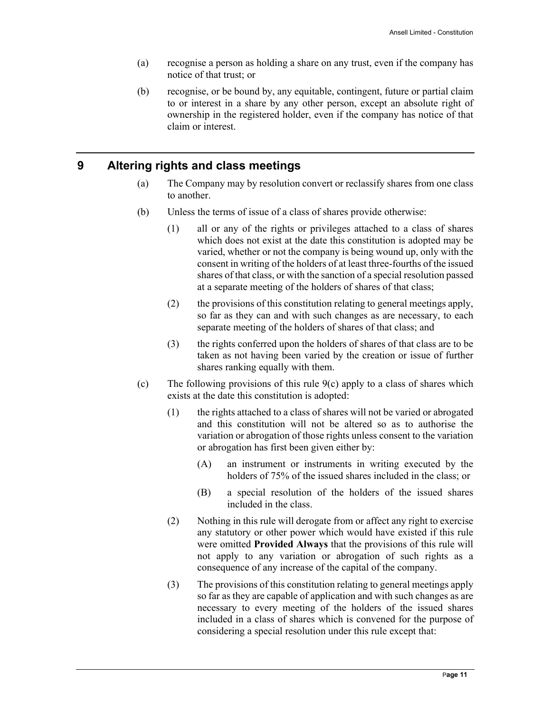- (a) recognise a person as holding a share on any trust, even if the company has notice of that trust; or
- (b) recognise, or be bound by, any equitable, contingent, future or partial claim to or interest in a share by any other person, except an absolute right of ownership in the registered holder, even if the company has notice of that claim or interest.

# **9 Altering rights and class meetings**

- (a) The Company may by resolution convert or reclassify shares from one class to another.
- (b) Unless the terms of issue of a class of shares provide otherwise:
	- (1) all or any of the rights or privileges attached to a class of shares which does not exist at the date this constitution is adopted may be varied, whether or not the company is being wound up, only with the consent in writing of the holders of at least three-fourths of the issued shares of that class, or with the sanction of a special resolution passed at a separate meeting of the holders of shares of that class;
	- (2) the provisions of this constitution relating to general meetings apply, so far as they can and with such changes as are necessary, to each separate meeting of the holders of shares of that class; and
	- (3) the rights conferred upon the holders of shares of that class are to be taken as not having been varied by the creation or issue of further shares ranking equally with them.
- (c) The following provisions of this rule  $9(c)$  apply to a class of shares which exists at the date this constitution is adopted:
	- (1) the rights attached to a class of shares will not be varied or abrogated and this constitution will not be altered so as to authorise the variation or abrogation of those rights unless consent to the variation or abrogation has first been given either by:
		- (A) an instrument or instruments in writing executed by the holders of 75% of the issued shares included in the class; or
		- (B) a special resolution of the holders of the issued shares included in the class.
	- (2) Nothing in this rule will derogate from or affect any right to exercise any statutory or other power which would have existed if this rule were omitted **Provided Always** that the provisions of this rule will not apply to any variation or abrogation of such rights as a consequence of any increase of the capital of the company.
	- (3) The provisions of this constitution relating to general meetings apply so far as they are capable of application and with such changes as are necessary to every meeting of the holders of the issued shares included in a class of shares which is convened for the purpose of considering a special resolution under this rule except that: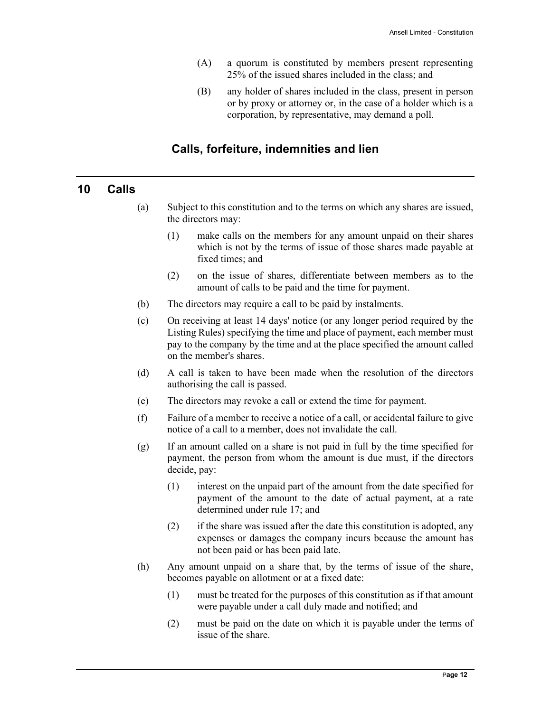- (A) a quorum is constituted by members present representing 25% of the issued shares included in the class; and
- (B) any holder of shares included in the class, present in person or by proxy or attorney or, in the case of a holder which is a corporation, by representative, may demand a poll.

# **Calls, forfeiture, indemnities and lien**

#### **10 Calls**

- (a) Subject to this constitution and to the terms on which any shares are issued, the directors may:
	- (1) make calls on the members for any amount unpaid on their shares which is not by the terms of issue of those shares made payable at fixed times; and
	- (2) on the issue of shares, differentiate between members as to the amount of calls to be paid and the time for payment.
- (b) The directors may require a call to be paid by instalments.
- (c) On receiving at least 14 days' notice (or any longer period required by the Listing Rules) specifying the time and place of payment, each member must pay to the company by the time and at the place specified the amount called on the member's shares.
- (d) A call is taken to have been made when the resolution of the directors authorising the call is passed.
- (e) The directors may revoke a call or extend the time for payment.
- (f) Failure of a member to receive a notice of a call, or accidental failure to give notice of a call to a member, does not invalidate the call.
- (g) If an amount called on a share is not paid in full by the time specified for payment, the person from whom the amount is due must, if the directors decide, pay:
	- (1) interest on the unpaid part of the amount from the date specified for payment of the amount to the date of actual payment, at a rate determined under rule 17; and
	- (2) if the share was issued after the date this constitution is adopted, any expenses or damages the company incurs because the amount has not been paid or has been paid late.
- (h) Any amount unpaid on a share that, by the terms of issue of the share, becomes payable on allotment or at a fixed date:
	- (1) must be treated for the purposes of this constitution as if that amount were payable under a call duly made and notified; and
	- (2) must be paid on the date on which it is payable under the terms of issue of the share.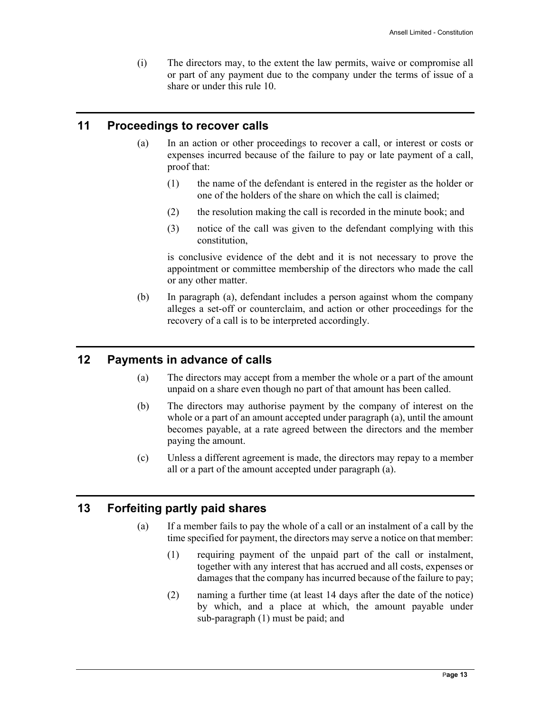(i) The directors may, to the extent the law permits, waive or compromise all or part of any payment due to the company under the terms of issue of a share or under this rule 10.

# **11 Proceedings to recover calls**

- (a) In an action or other proceedings to recover a call, or interest or costs or expenses incurred because of the failure to pay or late payment of a call, proof that:
	- (1) the name of the defendant is entered in the register as the holder or one of the holders of the share on which the call is claimed;
	- (2) the resolution making the call is recorded in the minute book; and
	- (3) notice of the call was given to the defendant complying with this constitution,

is conclusive evidence of the debt and it is not necessary to prove the appointment or committee membership of the directors who made the call or any other matter.

(b) In paragraph (a), defendant includes a person against whom the company alleges a set-off or counterclaim, and action or other proceedings for the recovery of a call is to be interpreted accordingly.

# **12 Payments in advance of calls**

- (a) The directors may accept from a member the whole or a part of the amount unpaid on a share even though no part of that amount has been called.
- (b) The directors may authorise payment by the company of interest on the whole or a part of an amount accepted under paragraph (a), until the amount becomes payable, at a rate agreed between the directors and the member paying the amount.
- (c) Unless a different agreement is made, the directors may repay to a member all or a part of the amount accepted under paragraph (a).

# **13 Forfeiting partly paid shares**

- (a) If a member fails to pay the whole of a call or an instalment of a call by the time specified for payment, the directors may serve a notice on that member:
	- (1) requiring payment of the unpaid part of the call or instalment, together with any interest that has accrued and all costs, expenses or damages that the company has incurred because of the failure to pay;
	- (2) naming a further time (at least 14 days after the date of the notice) by which, and a place at which, the amount payable under sub-paragraph (1) must be paid; and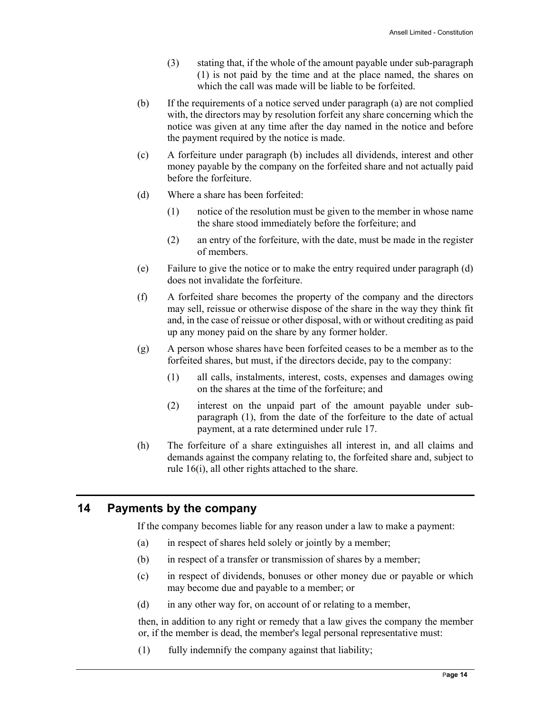- (3) stating that, if the whole of the amount payable under sub-paragraph (1) is not paid by the time and at the place named, the shares on which the call was made will be liable to be forfeited.
- (b) If the requirements of a notice served under paragraph (a) are not complied with, the directors may by resolution forfeit any share concerning which the notice was given at any time after the day named in the notice and before the payment required by the notice is made.
- (c) A forfeiture under paragraph (b) includes all dividends, interest and other money payable by the company on the forfeited share and not actually paid before the forfeiture.
- (d) Where a share has been forfeited:
	- (1) notice of the resolution must be given to the member in whose name the share stood immediately before the forfeiture; and
	- (2) an entry of the forfeiture, with the date, must be made in the register of members.
- (e) Failure to give the notice or to make the entry required under paragraph (d) does not invalidate the forfeiture.
- (f) A forfeited share becomes the property of the company and the directors may sell, reissue or otherwise dispose of the share in the way they think fit and, in the case of reissue or other disposal, with or without crediting as paid up any money paid on the share by any former holder.
- (g) A person whose shares have been forfeited ceases to be a member as to the forfeited shares, but must, if the directors decide, pay to the company:
	- (1) all calls, instalments, interest, costs, expenses and damages owing on the shares at the time of the forfeiture; and
	- (2) interest on the unpaid part of the amount payable under subparagraph (1), from the date of the forfeiture to the date of actual payment, at a rate determined under rule 17.
- (h) The forfeiture of a share extinguishes all interest in, and all claims and demands against the company relating to, the forfeited share and, subject to rule 16(i), all other rights attached to the share.

# **14 Payments by the company**

If the company becomes liable for any reason under a law to make a payment:

- (a) in respect of shares held solely or jointly by a member;
- (b) in respect of a transfer or transmission of shares by a member;
- (c) in respect of dividends, bonuses or other money due or payable or which may become due and payable to a member; or
- (d) in any other way for, on account of or relating to a member,

then, in addition to any right or remedy that a law gives the company the member or, if the member is dead, the member's legal personal representative must:

(1) fully indemnify the company against that liability;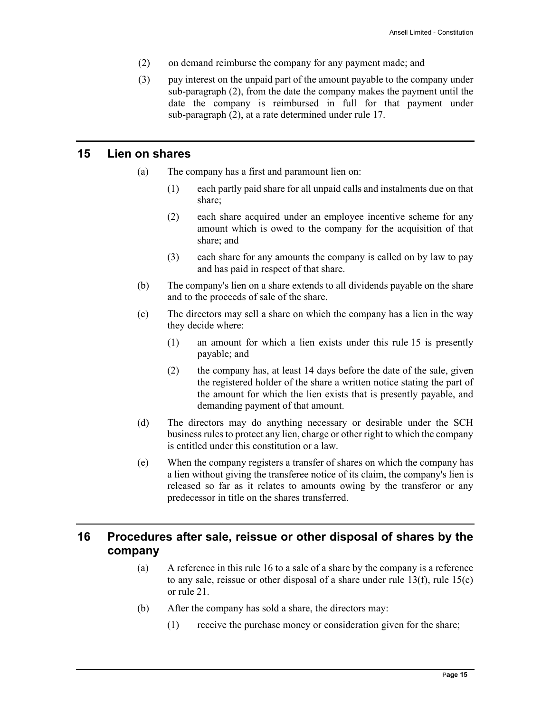- (2) on demand reimburse the company for any payment made; and
- (3) pay interest on the unpaid part of the amount payable to the company under sub-paragraph (2), from the date the company makes the payment until the date the company is reimbursed in full for that payment under sub-paragraph (2), at a rate determined under rule 17.

#### **15 Lien on shares**

- (a) The company has a first and paramount lien on:
	- (1) each partly paid share for all unpaid calls and instalments due on that share;
	- (2) each share acquired under an employee incentive scheme for any amount which is owed to the company for the acquisition of that share; and
	- (3) each share for any amounts the company is called on by law to pay and has paid in respect of that share.
- (b) The company's lien on a share extends to all dividends payable on the share and to the proceeds of sale of the share.
- (c) The directors may sell a share on which the company has a lien in the way they decide where:
	- (1) an amount for which a lien exists under this rule 15 is presently payable; and
	- (2) the company has, at least 14 days before the date of the sale, given the registered holder of the share a written notice stating the part of the amount for which the lien exists that is presently payable, and demanding payment of that amount.
- (d) The directors may do anything necessary or desirable under the SCH business rules to protect any lien, charge or other right to which the company is entitled under this constitution or a law.
- (e) When the company registers a transfer of shares on which the company has a lien without giving the transferee notice of its claim, the company's lien is released so far as it relates to amounts owing by the transferor or any predecessor in title on the shares transferred.

# **16 Procedures after sale, reissue or other disposal of shares by the company**

- (a) A reference in this rule 16 to a sale of a share by the company is a reference to any sale, reissue or other disposal of a share under rule 13(f), rule 15(c) or rule 21.
- (b) After the company has sold a share, the directors may:
	- (1) receive the purchase money or consideration given for the share;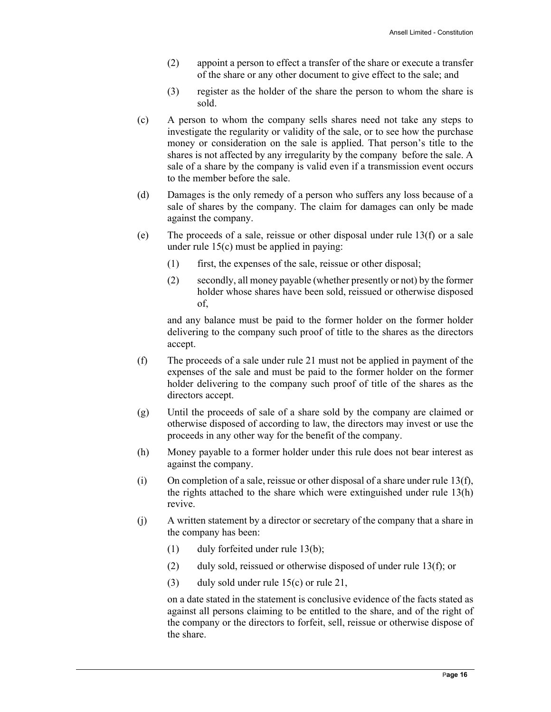- (2) appoint a person to effect a transfer of the share or execute a transfer of the share or any other document to give effect to the sale; and
- (3) register as the holder of the share the person to whom the share is sold.
- (c) A person to whom the company sells shares need not take any steps to investigate the regularity or validity of the sale, or to see how the purchase money or consideration on the sale is applied. That person's title to the shares is not affected by any irregularity by the company before the sale. A sale of a share by the company is valid even if a transmission event occurs to the member before the sale.
- (d) Damages is the only remedy of a person who suffers any loss because of a sale of shares by the company. The claim for damages can only be made against the company.
- (e) The proceeds of a sale, reissue or other disposal under rule  $13(f)$  or a sale under rule 15(c) must be applied in paying:
	- (1) first, the expenses of the sale, reissue or other disposal;
	- (2) secondly, all money payable (whether presently or not) by the former holder whose shares have been sold, reissued or otherwise disposed of,

and any balance must be paid to the former holder on the former holder delivering to the company such proof of title to the shares as the directors accept.

- (f) The proceeds of a sale under rule 21 must not be applied in payment of the expenses of the sale and must be paid to the former holder on the former holder delivering to the company such proof of title of the shares as the directors accept.
- (g) Until the proceeds of sale of a share sold by the company are claimed or otherwise disposed of according to law, the directors may invest or use the proceeds in any other way for the benefit of the company.
- (h) Money payable to a former holder under this rule does not bear interest as against the company.
- (i) On completion of a sale, reissue or other disposal of a share under rule 13(f), the rights attached to the share which were extinguished under rule 13(h) revive.
- (j) A written statement by a director or secretary of the company that a share in the company has been:
	- (1) duly forfeited under rule 13(b);
	- (2) duly sold, reissued or otherwise disposed of under rule 13(f); or
	- (3) duly sold under rule 15(c) or rule 21,

on a date stated in the statement is conclusive evidence of the facts stated as against all persons claiming to be entitled to the share, and of the right of the company or the directors to forfeit, sell, reissue or otherwise dispose of the share.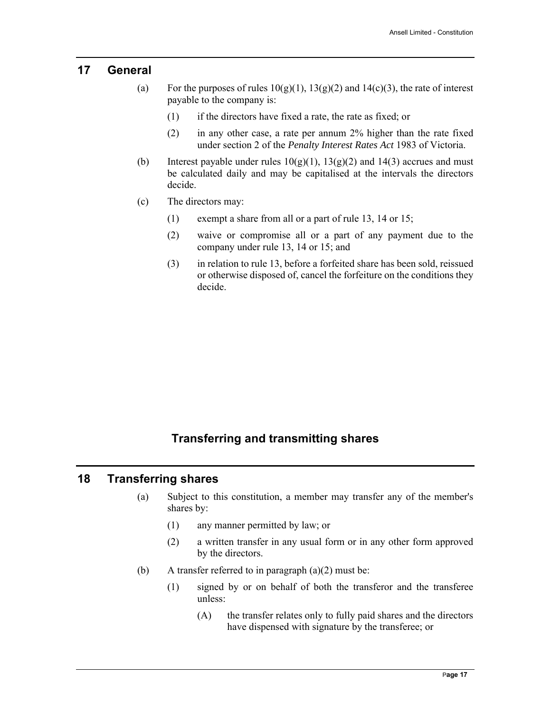#### **17 General**

- (a) For the purposes of rules  $10(g)(1)$ ,  $13(g)(2)$  and  $14(c)(3)$ , the rate of interest payable to the company is:
	- (1) if the directors have fixed a rate, the rate as fixed; or
	- (2) in any other case, a rate per annum 2% higher than the rate fixed under section 2 of the *Penalty Interest Rates Act* 1983 of Victoria.
- (b) Interest payable under rules  $10(g)(1)$ ,  $13(g)(2)$  and  $14(3)$  accrues and must be calculated daily and may be capitalised at the intervals the directors decide.
- (c) The directors may:
	- (1) exempt a share from all or a part of rule 13, 14 or 15;
	- (2) waive or compromise all or a part of any payment due to the company under rule 13, 14 or 15; and
	- (3) in relation to rule 13, before a forfeited share has been sold, reissued or otherwise disposed of, cancel the forfeiture on the conditions they decide.

# **Transferring and transmitting shares**

#### **18 Transferring shares**

- (a) Subject to this constitution, a member may transfer any of the member's shares by:
	- (1) any manner permitted by law; or
	- (2) a written transfer in any usual form or in any other form approved by the directors.
- (b) A transfer referred to in paragraph  $(a)(2)$  must be:
	- (1) signed by or on behalf of both the transferor and the transferee unless:
		- (A) the transfer relates only to fully paid shares and the directors have dispensed with signature by the transferee; or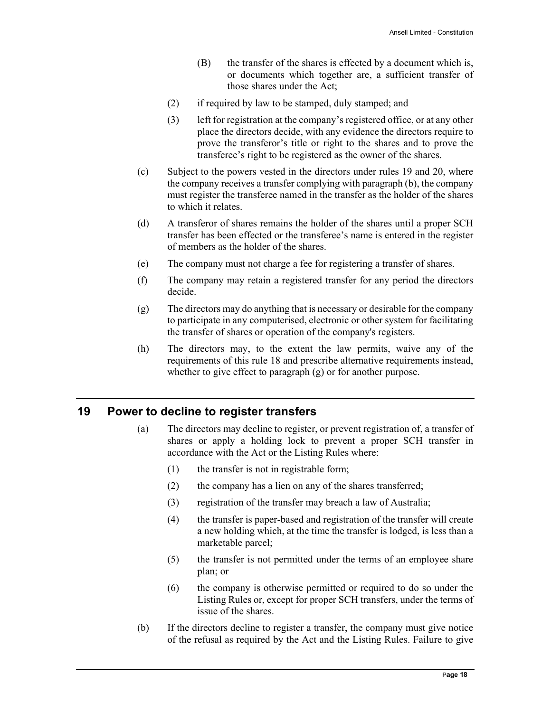- (B) the transfer of the shares is effected by a document which is, or documents which together are, a sufficient transfer of those shares under the Act;
- (2) if required by law to be stamped, duly stamped; and
- (3) left for registration at the company's registered office, or at any other place the directors decide, with any evidence the directors require to prove the transferor's title or right to the shares and to prove the transferee's right to be registered as the owner of the shares.
- (c) Subject to the powers vested in the directors under rules 19 and 20, where the company receives a transfer complying with paragraph (b), the company must register the transferee named in the transfer as the holder of the shares to which it relates.
- (d) A transferor of shares remains the holder of the shares until a proper SCH transfer has been effected or the transferee's name is entered in the register of members as the holder of the shares.
- (e) The company must not charge a fee for registering a transfer of shares.
- (f) The company may retain a registered transfer for any period the directors decide.
- (g) The directors may do anything that is necessary or desirable for the company to participate in any computerised, electronic or other system for facilitating the transfer of shares or operation of the company's registers.
- (h) The directors may, to the extent the law permits, waive any of the requirements of this rule 18 and prescribe alternative requirements instead, whether to give effect to paragraph (g) or for another purpose.

#### **19 Power to decline to register transfers**

- (a) The directors may decline to register, or prevent registration of, a transfer of shares or apply a holding lock to prevent a proper SCH transfer in accordance with the Act or the Listing Rules where:
	- (1) the transfer is not in registrable form;
	- (2) the company has a lien on any of the shares transferred;
	- (3) registration of the transfer may breach a law of Australia;
	- (4) the transfer is paper-based and registration of the transfer will create a new holding which, at the time the transfer is lodged, is less than a marketable parcel;
	- (5) the transfer is not permitted under the terms of an employee share plan; or
	- (6) the company is otherwise permitted or required to do so under the Listing Rules or, except for proper SCH transfers, under the terms of issue of the shares.
- (b) If the directors decline to register a transfer, the company must give notice of the refusal as required by the Act and the Listing Rules. Failure to give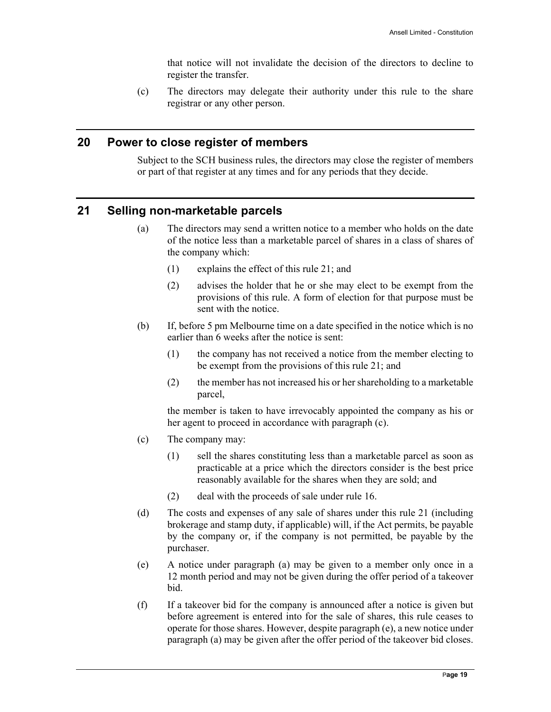that notice will not invalidate the decision of the directors to decline to register the transfer.

(c) The directors may delegate their authority under this rule to the share registrar or any other person.

#### **20 Power to close register of members**

Subject to the SCH business rules, the directors may close the register of members or part of that register at any times and for any periods that they decide.

#### **21 Selling non-marketable parcels**

- (a) The directors may send a written notice to a member who holds on the date of the notice less than a marketable parcel of shares in a class of shares of the company which:
	- (1) explains the effect of this rule 21; and
	- (2) advises the holder that he or she may elect to be exempt from the provisions of this rule. A form of election for that purpose must be sent with the notice.
- (b) If, before 5 pm Melbourne time on a date specified in the notice which is no earlier than 6 weeks after the notice is sent:
	- (1) the company has not received a notice from the member electing to be exempt from the provisions of this rule 21; and
	- (2) the member has not increased his or her shareholding to a marketable parcel,

the member is taken to have irrevocably appointed the company as his or her agent to proceed in accordance with paragraph (c).

- (c) The company may:
	- (1) sell the shares constituting less than a marketable parcel as soon as practicable at a price which the directors consider is the best price reasonably available for the shares when they are sold; and
	- (2) deal with the proceeds of sale under rule 16.
- (d) The costs and expenses of any sale of shares under this rule 21 (including brokerage and stamp duty, if applicable) will, if the Act permits, be payable by the company or, if the company is not permitted, be payable by the purchaser.
- (e) A notice under paragraph (a) may be given to a member only once in a 12 month period and may not be given during the offer period of a takeover bid.
- (f) If a takeover bid for the company is announced after a notice is given but before agreement is entered into for the sale of shares, this rule ceases to operate for those shares. However, despite paragraph (e), a new notice under paragraph (a) may be given after the offer period of the takeover bid closes.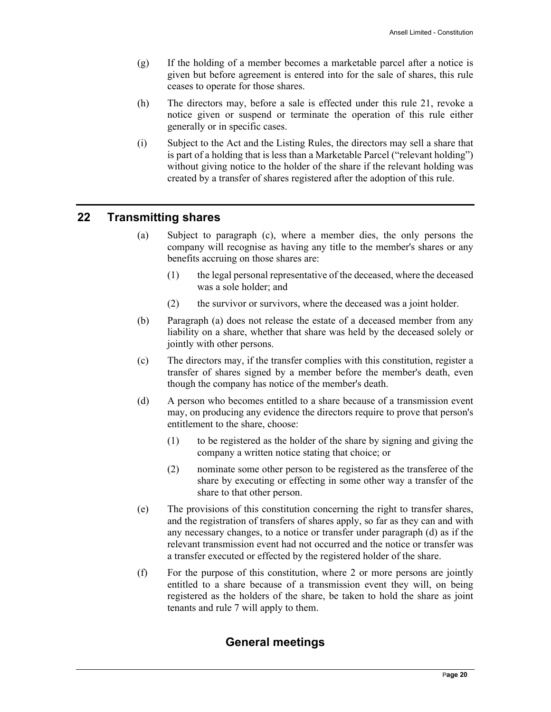- (g) If the holding of a member becomes a marketable parcel after a notice is given but before agreement is entered into for the sale of shares, this rule ceases to operate for those shares.
- (h) The directors may, before a sale is effected under this rule 21, revoke a notice given or suspend or terminate the operation of this rule either generally or in specific cases.
- (i) Subject to the Act and the Listing Rules, the directors may sell a share that is part of a holding that is less than a Marketable Parcel ("relevant holding") without giving notice to the holder of the share if the relevant holding was created by a transfer of shares registered after the adoption of this rule.

# **22 Transmitting shares**

- (a) Subject to paragraph (c), where a member dies, the only persons the company will recognise as having any title to the member's shares or any benefits accruing on those shares are:
	- (1) the legal personal representative of the deceased, where the deceased was a sole holder; and
	- (2) the survivor or survivors, where the deceased was a joint holder.
- (b) Paragraph (a) does not release the estate of a deceased member from any liability on a share, whether that share was held by the deceased solely or jointly with other persons.
- (c) The directors may, if the transfer complies with this constitution, register a transfer of shares signed by a member before the member's death, even though the company has notice of the member's death.
- (d) A person who becomes entitled to a share because of a transmission event may, on producing any evidence the directors require to prove that person's entitlement to the share, choose:
	- (1) to be registered as the holder of the share by signing and giving the company a written notice stating that choice; or
	- (2) nominate some other person to be registered as the transferee of the share by executing or effecting in some other way a transfer of the share to that other person.
- (e) The provisions of this constitution concerning the right to transfer shares, and the registration of transfers of shares apply, so far as they can and with any necessary changes, to a notice or transfer under paragraph (d) as if the relevant transmission event had not occurred and the notice or transfer was a transfer executed or effected by the registered holder of the share.
- (f) For the purpose of this constitution, where 2 or more persons are jointly entitled to a share because of a transmission event they will, on being registered as the holders of the share, be taken to hold the share as joint tenants and rule 7 will apply to them.

# **General meetings**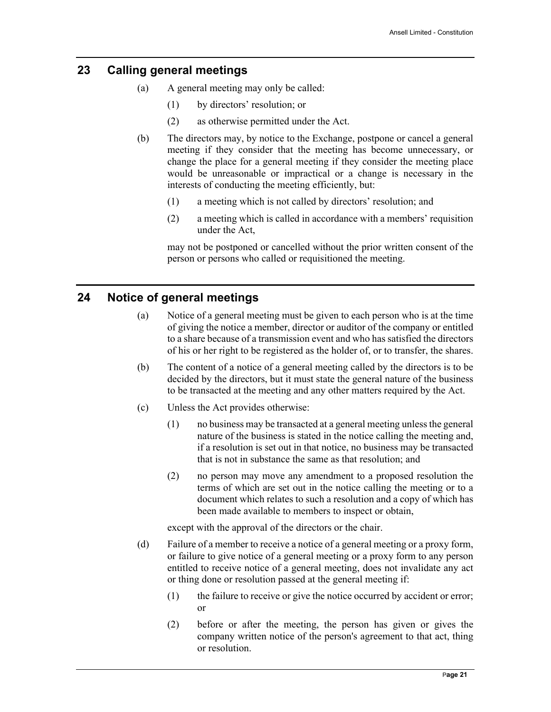# **23 Calling general meetings**

- (a) A general meeting may only be called:
	- (1) by directors' resolution; or
	- (2) as otherwise permitted under the Act.
- (b) The directors may, by notice to the Exchange, postpone or cancel a general meeting if they consider that the meeting has become unnecessary, or change the place for a general meeting if they consider the meeting place would be unreasonable or impractical or a change is necessary in the interests of conducting the meeting efficiently, but:
	- (1) a meeting which is not called by directors' resolution; and
	- (2) a meeting which is called in accordance with a members' requisition under the Act,

may not be postponed or cancelled without the prior written consent of the person or persons who called or requisitioned the meeting.

# **24 Notice of general meetings**

- (a) Notice of a general meeting must be given to each person who is at the time of giving the notice a member, director or auditor of the company or entitled to a share because of a transmission event and who has satisfied the directors of his or her right to be registered as the holder of, or to transfer, the shares.
- (b) The content of a notice of a general meeting called by the directors is to be decided by the directors, but it must state the general nature of the business to be transacted at the meeting and any other matters required by the Act.
- (c) Unless the Act provides otherwise:
	- (1) no business may be transacted at a general meeting unless the general nature of the business is stated in the notice calling the meeting and, if a resolution is set out in that notice, no business may be transacted that is not in substance the same as that resolution; and
	- (2) no person may move any amendment to a proposed resolution the terms of which are set out in the notice calling the meeting or to a document which relates to such a resolution and a copy of which has been made available to members to inspect or obtain,

except with the approval of the directors or the chair.

- (d) Failure of a member to receive a notice of a general meeting or a proxy form, or failure to give notice of a general meeting or a proxy form to any person entitled to receive notice of a general meeting, does not invalidate any act or thing done or resolution passed at the general meeting if:
	- (1) the failure to receive or give the notice occurred by accident or error; or
	- (2) before or after the meeting, the person has given or gives the company written notice of the person's agreement to that act, thing or resolution.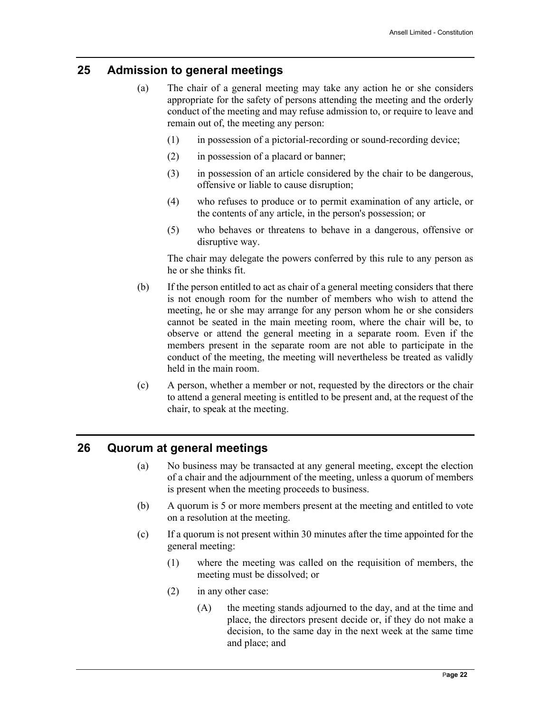#### **25 Admission to general meetings**

- (a) The chair of a general meeting may take any action he or she considers appropriate for the safety of persons attending the meeting and the orderly conduct of the meeting and may refuse admission to, or require to leave and remain out of, the meeting any person:
	- (1) in possession of a pictorial-recording or sound-recording device;
	- (2) in possession of a placard or banner;
	- (3) in possession of an article considered by the chair to be dangerous, offensive or liable to cause disruption;
	- (4) who refuses to produce or to permit examination of any article, or the contents of any article, in the person's possession; or
	- (5) who behaves or threatens to behave in a dangerous, offensive or disruptive way.

The chair may delegate the powers conferred by this rule to any person as he or she thinks fit.

- (b) If the person entitled to act as chair of a general meeting considers that there is not enough room for the number of members who wish to attend the meeting, he or she may arrange for any person whom he or she considers cannot be seated in the main meeting room, where the chair will be, to observe or attend the general meeting in a separate room. Even if the members present in the separate room are not able to participate in the conduct of the meeting, the meeting will nevertheless be treated as validly held in the main room.
- (c) A person, whether a member or not, requested by the directors or the chair to attend a general meeting is entitled to be present and, at the request of the chair, to speak at the meeting.

## **26 Quorum at general meetings**

- (a) No business may be transacted at any general meeting, except the election of a chair and the adjournment of the meeting, unless a quorum of members is present when the meeting proceeds to business.
- (b) A quorum is 5 or more members present at the meeting and entitled to vote on a resolution at the meeting.
- (c) If a quorum is not present within 30 minutes after the time appointed for the general meeting:
	- (1) where the meeting was called on the requisition of members, the meeting must be dissolved; or
	- (2) in any other case:
		- (A) the meeting stands adjourned to the day, and at the time and place, the directors present decide or, if they do not make a decision, to the same day in the next week at the same time and place; and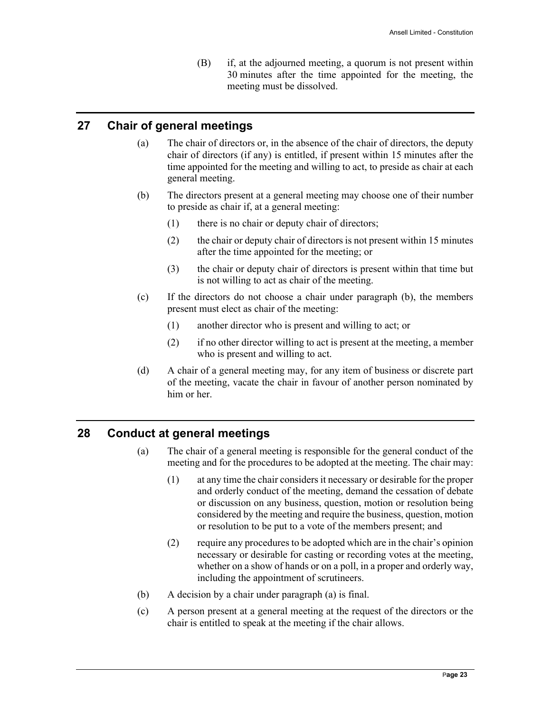(B) if, at the adjourned meeting, a quorum is not present within 30 minutes after the time appointed for the meeting, the meeting must be dissolved.

# **27 Chair of general meetings**

- (a) The chair of directors or, in the absence of the chair of directors, the deputy chair of directors (if any) is entitled, if present within 15 minutes after the time appointed for the meeting and willing to act, to preside as chair at each general meeting.
- (b) The directors present at a general meeting may choose one of their number to preside as chair if, at a general meeting:
	- (1) there is no chair or deputy chair of directors;
	- (2) the chair or deputy chair of directors is not present within 15 minutes after the time appointed for the meeting; or
	- (3) the chair or deputy chair of directors is present within that time but is not willing to act as chair of the meeting.
- (c) If the directors do not choose a chair under paragraph (b), the members present must elect as chair of the meeting:
	- (1) another director who is present and willing to act; or
	- (2) if no other director willing to act is present at the meeting, a member who is present and willing to act.
- (d) A chair of a general meeting may, for any item of business or discrete part of the meeting, vacate the chair in favour of another person nominated by him or her.

#### **28 Conduct at general meetings**

- (a) The chair of a general meeting is responsible for the general conduct of the meeting and for the procedures to be adopted at the meeting. The chair may:
	- (1) at any time the chair considers it necessary or desirable for the proper and orderly conduct of the meeting, demand the cessation of debate or discussion on any business, question, motion or resolution being considered by the meeting and require the business, question, motion or resolution to be put to a vote of the members present; and
	- (2) require any procedures to be adopted which are in the chair's opinion necessary or desirable for casting or recording votes at the meeting, whether on a show of hands or on a poll, in a proper and orderly way, including the appointment of scrutineers.
- (b) A decision by a chair under paragraph (a) is final.
- (c) A person present at a general meeting at the request of the directors or the chair is entitled to speak at the meeting if the chair allows.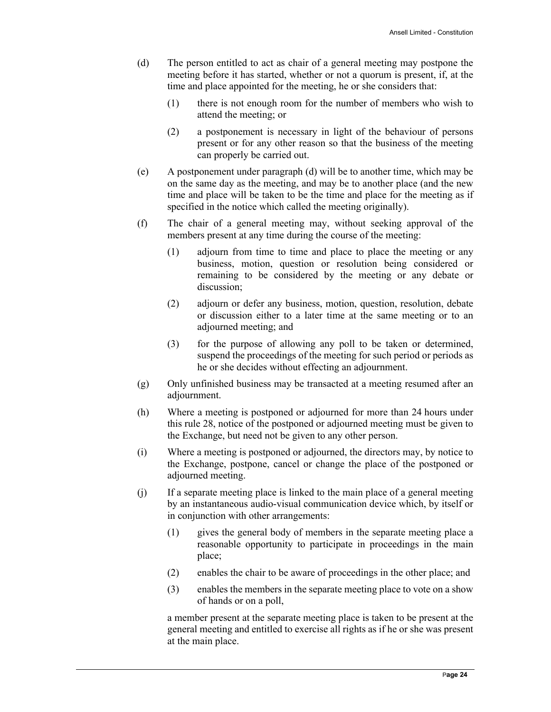- (d) The person entitled to act as chair of a general meeting may postpone the meeting before it has started, whether or not a quorum is present, if, at the time and place appointed for the meeting, he or she considers that:
	- (1) there is not enough room for the number of members who wish to attend the meeting; or
	- (2) a postponement is necessary in light of the behaviour of persons present or for any other reason so that the business of the meeting can properly be carried out.
- (e) A postponement under paragraph (d) will be to another time, which may be on the same day as the meeting, and may be to another place (and the new time and place will be taken to be the time and place for the meeting as if specified in the notice which called the meeting originally).
- (f) The chair of a general meeting may, without seeking approval of the members present at any time during the course of the meeting:
	- (1) adjourn from time to time and place to place the meeting or any business, motion, question or resolution being considered or remaining to be considered by the meeting or any debate or discussion;
	- (2) adjourn or defer any business, motion, question, resolution, debate or discussion either to a later time at the same meeting or to an adjourned meeting; and
	- (3) for the purpose of allowing any poll to be taken or determined, suspend the proceedings of the meeting for such period or periods as he or she decides without effecting an adjournment.
- (g) Only unfinished business may be transacted at a meeting resumed after an adjournment.
- (h) Where a meeting is postponed or adjourned for more than 24 hours under this rule 28, notice of the postponed or adjourned meeting must be given to the Exchange, but need not be given to any other person.
- (i) Where a meeting is postponed or adjourned, the directors may, by notice to the Exchange, postpone, cancel or change the place of the postponed or adjourned meeting.
- (j) If a separate meeting place is linked to the main place of a general meeting by an instantaneous audio-visual communication device which, by itself or in conjunction with other arrangements:
	- (1) gives the general body of members in the separate meeting place a reasonable opportunity to participate in proceedings in the main place;
	- (2) enables the chair to be aware of proceedings in the other place; and
	- (3) enables the members in the separate meeting place to vote on a show of hands or on a poll,

a member present at the separate meeting place is taken to be present at the general meeting and entitled to exercise all rights as if he or she was present at the main place.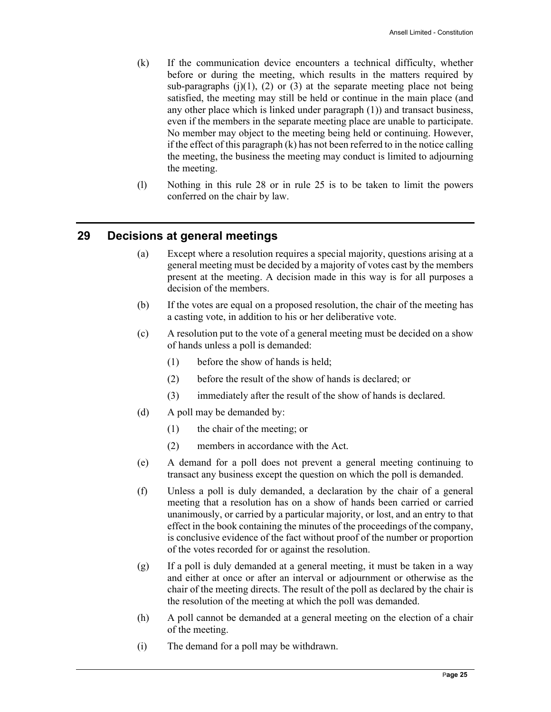- (k) If the communication device encounters a technical difficulty, whether before or during the meeting, which results in the matters required by sub-paragraphs  $(j)(1)$ ,  $(2)$  or  $(3)$  at the separate meeting place not being satisfied, the meeting may still be held or continue in the main place (and any other place which is linked under paragraph (1)) and transact business, even if the members in the separate meeting place are unable to participate. No member may object to the meeting being held or continuing. However, if the effect of this paragraph (k) has not been referred to in the notice calling the meeting, the business the meeting may conduct is limited to adjourning the meeting.
- (l) Nothing in this rule 28 or in rule 25 is to be taken to limit the powers conferred on the chair by law.

# **29 Decisions at general meetings**

- (a) Except where a resolution requires a special majority, questions arising at a general meeting must be decided by a majority of votes cast by the members present at the meeting. A decision made in this way is for all purposes a decision of the members.
- (b) If the votes are equal on a proposed resolution, the chair of the meeting has a casting vote, in addition to his or her deliberative vote.
- (c) A resolution put to the vote of a general meeting must be decided on a show of hands unless a poll is demanded:
	- (1) before the show of hands is held;
	- (2) before the result of the show of hands is declared; or
	- (3) immediately after the result of the show of hands is declared.
- (d) A poll may be demanded by:
	- (1) the chair of the meeting; or
	- (2) members in accordance with the Act.
- (e) A demand for a poll does not prevent a general meeting continuing to transact any business except the question on which the poll is demanded.
- (f) Unless a poll is duly demanded, a declaration by the chair of a general meeting that a resolution has on a show of hands been carried or carried unanimously, or carried by a particular majority, or lost, and an entry to that effect in the book containing the minutes of the proceedings of the company, is conclusive evidence of the fact without proof of the number or proportion of the votes recorded for or against the resolution.
- (g) If a poll is duly demanded at a general meeting, it must be taken in a way and either at once or after an interval or adjournment or otherwise as the chair of the meeting directs. The result of the poll as declared by the chair is the resolution of the meeting at which the poll was demanded.
- (h) A poll cannot be demanded at a general meeting on the election of a chair of the meeting.
- (i) The demand for a poll may be withdrawn.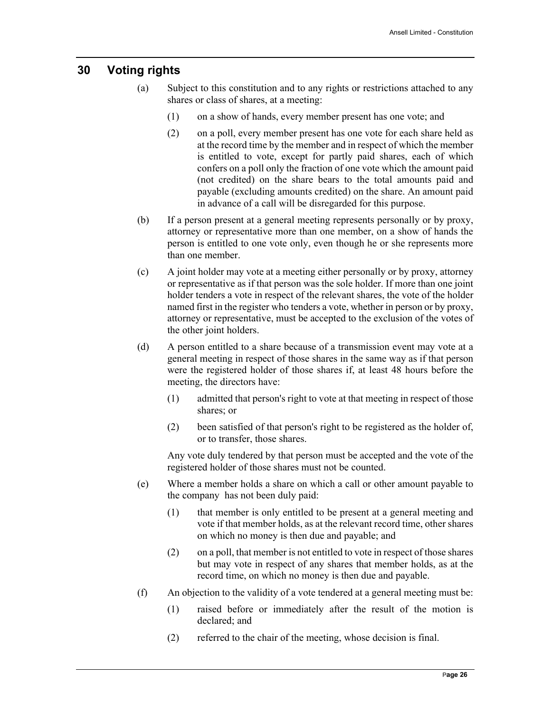#### **30 Voting rights**

- (a) Subject to this constitution and to any rights or restrictions attached to any shares or class of shares, at a meeting:
	- (1) on a show of hands, every member present has one vote; and
	- (2) on a poll, every member present has one vote for each share held as at the record time by the member and in respect of which the member is entitled to vote, except for partly paid shares, each of which confers on a poll only the fraction of one vote which the amount paid (not credited) on the share bears to the total amounts paid and payable (excluding amounts credited) on the share. An amount paid in advance of a call will be disregarded for this purpose.
- (b) If a person present at a general meeting represents personally or by proxy, attorney or representative more than one member, on a show of hands the person is entitled to one vote only, even though he or she represents more than one member.
- (c) A joint holder may vote at a meeting either personally or by proxy, attorney or representative as if that person was the sole holder. If more than one joint holder tenders a vote in respect of the relevant shares, the vote of the holder named first in the register who tenders a vote, whether in person or by proxy, attorney or representative, must be accepted to the exclusion of the votes of the other joint holders.
- (d) A person entitled to a share because of a transmission event may vote at a general meeting in respect of those shares in the same way as if that person were the registered holder of those shares if, at least 48 hours before the meeting, the directors have:
	- (1) admitted that person's right to vote at that meeting in respect of those shares; or
	- (2) been satisfied of that person's right to be registered as the holder of, or to transfer, those shares.

Any vote duly tendered by that person must be accepted and the vote of the registered holder of those shares must not be counted.

- (e) Where a member holds a share on which a call or other amount payable to the company has not been duly paid:
	- (1) that member is only entitled to be present at a general meeting and vote if that member holds, as at the relevant record time, other shares on which no money is then due and payable; and
	- (2) on a poll, that member is not entitled to vote in respect of those shares but may vote in respect of any shares that member holds, as at the record time, on which no money is then due and payable.
- (f) An objection to the validity of a vote tendered at a general meeting must be:
	- (1) raised before or immediately after the result of the motion is declared; and
	- (2) referred to the chair of the meeting, whose decision is final.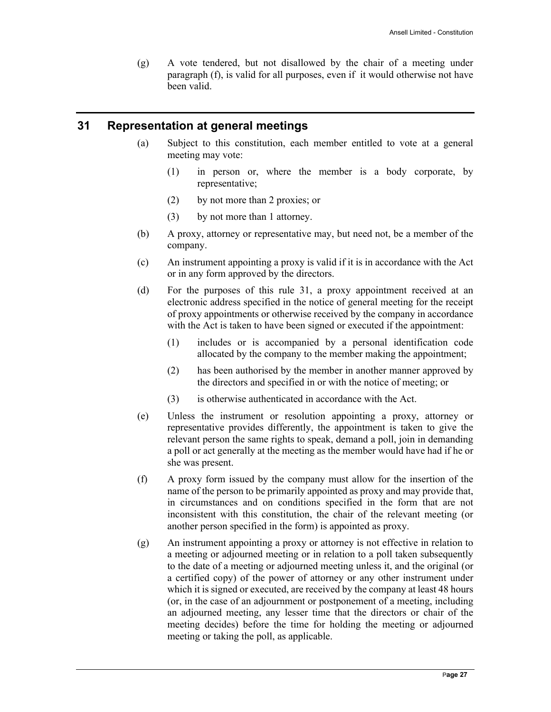(g) A vote tendered, but not disallowed by the chair of a meeting under paragraph (f), is valid for all purposes, even if it would otherwise not have been valid.

#### **31 Representation at general meetings**

- (a) Subject to this constitution, each member entitled to vote at a general meeting may vote:
	- (1) in person or, where the member is a body corporate, by representative;
	- (2) by not more than 2 proxies; or
	- (3) by not more than 1 attorney.
- (b) A proxy, attorney or representative may, but need not, be a member of the company.
- (c) An instrument appointing a proxy is valid if it is in accordance with the Act or in any form approved by the directors.
- (d) For the purposes of this rule 31, a proxy appointment received at an electronic address specified in the notice of general meeting for the receipt of proxy appointments or otherwise received by the company in accordance with the Act is taken to have been signed or executed if the appointment:
	- (1) includes or is accompanied by a personal identification code allocated by the company to the member making the appointment;
	- (2) has been authorised by the member in another manner approved by the directors and specified in or with the notice of meeting; or
	- (3) is otherwise authenticated in accordance with the Act.
- (e) Unless the instrument or resolution appointing a proxy, attorney or representative provides differently, the appointment is taken to give the relevant person the same rights to speak, demand a poll, join in demanding a poll or act generally at the meeting as the member would have had if he or she was present.
- (f) A proxy form issued by the company must allow for the insertion of the name of the person to be primarily appointed as proxy and may provide that, in circumstances and on conditions specified in the form that are not inconsistent with this constitution, the chair of the relevant meeting (or another person specified in the form) is appointed as proxy.
- (g) An instrument appointing a proxy or attorney is not effective in relation to a meeting or adjourned meeting or in relation to a poll taken subsequently to the date of a meeting or adjourned meeting unless it, and the original (or a certified copy) of the power of attorney or any other instrument under which it is signed or executed, are received by the company at least 48 hours (or, in the case of an adjournment or postponement of a meeting, including an adjourned meeting, any lesser time that the directors or chair of the meeting decides) before the time for holding the meeting or adjourned meeting or taking the poll, as applicable.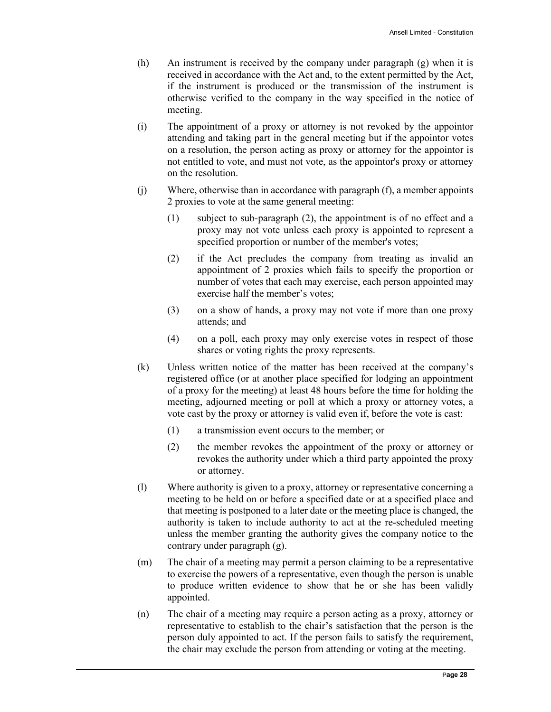- (h) An instrument is received by the company under paragraph (g) when it is received in accordance with the Act and, to the extent permitted by the Act, if the instrument is produced or the transmission of the instrument is otherwise verified to the company in the way specified in the notice of meeting.
- (i) The appointment of a proxy or attorney is not revoked by the appointor attending and taking part in the general meeting but if the appointor votes on a resolution, the person acting as proxy or attorney for the appointor is not entitled to vote, and must not vote, as the appointor's proxy or attorney on the resolution.
- (j) Where, otherwise than in accordance with paragraph (f), a member appoints 2 proxies to vote at the same general meeting:
	- (1) subject to sub-paragraph (2), the appointment is of no effect and a proxy may not vote unless each proxy is appointed to represent a specified proportion or number of the member's votes;
	- (2) if the Act precludes the company from treating as invalid an appointment of 2 proxies which fails to specify the proportion or number of votes that each may exercise, each person appointed may exercise half the member's votes;
	- (3) on a show of hands, a proxy may not vote if more than one proxy attends; and
	- (4) on a poll, each proxy may only exercise votes in respect of those shares or voting rights the proxy represents.
- (k) Unless written notice of the matter has been received at the company's registered office (or at another place specified for lodging an appointment of a proxy for the meeting) at least 48 hours before the time for holding the meeting, adjourned meeting or poll at which a proxy or attorney votes, a vote cast by the proxy or attorney is valid even if, before the vote is cast:
	- (1) a transmission event occurs to the member; or
	- (2) the member revokes the appointment of the proxy or attorney or revokes the authority under which a third party appointed the proxy or attorney.
- (l) Where authority is given to a proxy, attorney or representative concerning a meeting to be held on or before a specified date or at a specified place and that meeting is postponed to a later date or the meeting place is changed, the authority is taken to include authority to act at the re-scheduled meeting unless the member granting the authority gives the company notice to the contrary under paragraph (g).
- (m) The chair of a meeting may permit a person claiming to be a representative to exercise the powers of a representative, even though the person is unable to produce written evidence to show that he or she has been validly appointed.
- (n) The chair of a meeting may require a person acting as a proxy, attorney or representative to establish to the chair's satisfaction that the person is the person duly appointed to act. If the person fails to satisfy the requirement, the chair may exclude the person from attending or voting at the meeting.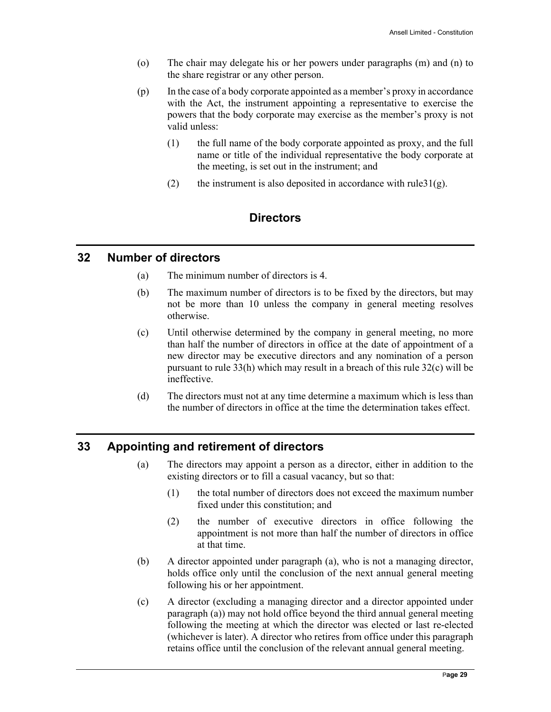- (o) The chair may delegate his or her powers under paragraphs (m) and (n) to the share registrar or any other person.
- (p) In the case of a body corporate appointed as a member's proxy in accordance with the Act, the instrument appointing a representative to exercise the powers that the body corporate may exercise as the member's proxy is not valid unless:
	- (1) the full name of the body corporate appointed as proxy, and the full name or title of the individual representative the body corporate at the meeting, is set out in the instrument; and
	- (2) the instrument is also deposited in accordance with rule  $31(g)$ .

# **Directors**

# **32 Number of directors**

- (a) The minimum number of directors is 4.
- (b) The maximum number of directors is to be fixed by the directors, but may not be more than 10 unless the company in general meeting resolves otherwise.
- (c) Until otherwise determined by the company in general meeting, no more than half the number of directors in office at the date of appointment of a new director may be executive directors and any nomination of a person pursuant to rule 33(h) which may result in a breach of this rule 32(c) will be ineffective.
- (d) The directors must not at any time determine a maximum which is less than the number of directors in office at the time the determination takes effect.

# **33 Appointing and retirement of directors**

- (a) The directors may appoint a person as a director, either in addition to the existing directors or to fill a casual vacancy, but so that:
	- (1) the total number of directors does not exceed the maximum number fixed under this constitution; and
	- (2) the number of executive directors in office following the appointment is not more than half the number of directors in office at that time.
- (b) A director appointed under paragraph (a), who is not a managing director, holds office only until the conclusion of the next annual general meeting following his or her appointment.
- (c) A director (excluding a managing director and a director appointed under paragraph (a)) may not hold office beyond the third annual general meeting following the meeting at which the director was elected or last re-elected (whichever is later). A director who retires from office under this paragraph retains office until the conclusion of the relevant annual general meeting.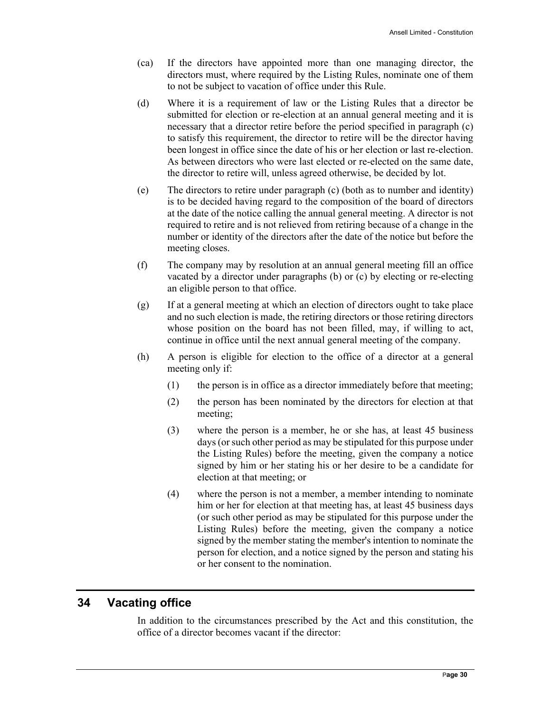- (ca) If the directors have appointed more than one managing director, the directors must, where required by the Listing Rules, nominate one of them to not be subject to vacation of office under this Rule.
- (d) Where it is a requirement of law or the Listing Rules that a director be submitted for election or re-election at an annual general meeting and it is necessary that a director retire before the period specified in paragraph (c) to satisfy this requirement, the director to retire will be the director having been longest in office since the date of his or her election or last re-election. As between directors who were last elected or re-elected on the same date, the director to retire will, unless agreed otherwise, be decided by lot.
- (e) The directors to retire under paragraph (c) (both as to number and identity) is to be decided having regard to the composition of the board of directors at the date of the notice calling the annual general meeting. A director is not required to retire and is not relieved from retiring because of a change in the number or identity of the directors after the date of the notice but before the meeting closes.
- (f) The company may by resolution at an annual general meeting fill an office vacated by a director under paragraphs (b) or (c) by electing or re-electing an eligible person to that office.
- (g) If at a general meeting at which an election of directors ought to take place and no such election is made, the retiring directors or those retiring directors whose position on the board has not been filled, may, if willing to act, continue in office until the next annual general meeting of the company.
- (h) A person is eligible for election to the office of a director at a general meeting only if:
	- (1) the person is in office as a director immediately before that meeting;
	- (2) the person has been nominated by the directors for election at that meeting;
	- (3) where the person is a member, he or she has, at least 45 business days (or such other period as may be stipulated for this purpose under the Listing Rules) before the meeting, given the company a notice signed by him or her stating his or her desire to be a candidate for election at that meeting; or
	- (4) where the person is not a member, a member intending to nominate him or her for election at that meeting has, at least 45 business days (or such other period as may be stipulated for this purpose under the Listing Rules) before the meeting, given the company a notice signed by the member stating the member's intention to nominate the person for election, and a notice signed by the person and stating his or her consent to the nomination.

# **34 Vacating office**

In addition to the circumstances prescribed by the Act and this constitution, the office of a director becomes vacant if the director: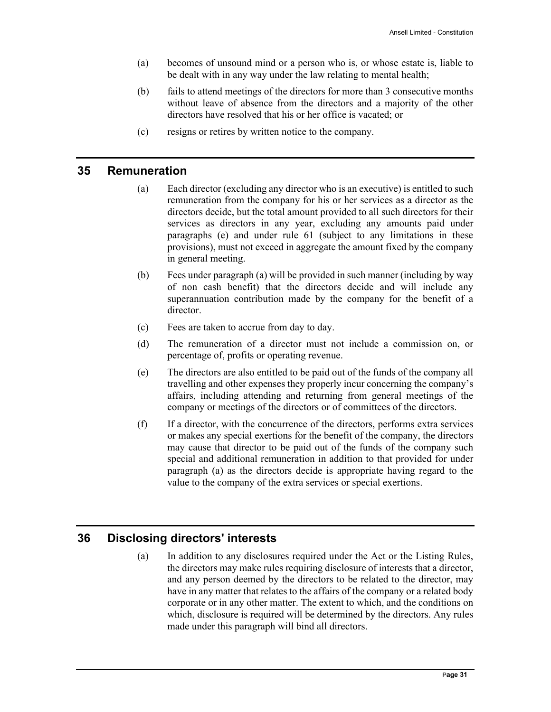- (a) becomes of unsound mind or a person who is, or whose estate is, liable to be dealt with in any way under the law relating to mental health;
- (b) fails to attend meetings of the directors for more than 3 consecutive months without leave of absence from the directors and a majority of the other directors have resolved that his or her office is vacated; or
- (c) resigns or retires by written notice to the company.

#### **35 Remuneration**

- (a) Each director (excluding any director who is an executive) is entitled to such remuneration from the company for his or her services as a director as the directors decide, but the total amount provided to all such directors for their services as directors in any year, excluding any amounts paid under paragraphs (e) and under rule 61 (subject to any limitations in these provisions), must not exceed in aggregate the amount fixed by the company in general meeting.
- (b) Fees under paragraph (a) will be provided in such manner (including by way of non cash benefit) that the directors decide and will include any superannuation contribution made by the company for the benefit of a director.
- (c) Fees are taken to accrue from day to day.
- (d) The remuneration of a director must not include a commission on, or percentage of, profits or operating revenue.
- (e) The directors are also entitled to be paid out of the funds of the company all travelling and other expenses they properly incur concerning the company's affairs, including attending and returning from general meetings of the company or meetings of the directors or of committees of the directors.
- (f) If a director, with the concurrence of the directors, performs extra services or makes any special exertions for the benefit of the company, the directors may cause that director to be paid out of the funds of the company such special and additional remuneration in addition to that provided for under paragraph (a) as the directors decide is appropriate having regard to the value to the company of the extra services or special exertions.

# **36 Disclosing directors' interests**

(a) In addition to any disclosures required under the Act or the Listing Rules, the directors may make rules requiring disclosure of interests that a director, and any person deemed by the directors to be related to the director, may have in any matter that relates to the affairs of the company or a related body corporate or in any other matter. The extent to which, and the conditions on which, disclosure is required will be determined by the directors. Any rules made under this paragraph will bind all directors.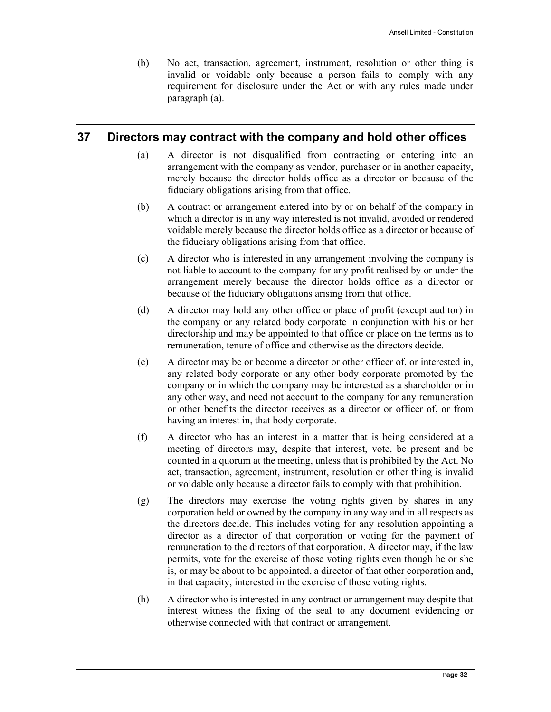(b) No act, transaction, agreement, instrument, resolution or other thing is invalid or voidable only because a person fails to comply with any requirement for disclosure under the Act or with any rules made under paragraph (a).

# **37 Directors may contract with the company and hold other offices**

- (a) A director is not disqualified from contracting or entering into an arrangement with the company as vendor, purchaser or in another capacity, merely because the director holds office as a director or because of the fiduciary obligations arising from that office.
- (b) A contract or arrangement entered into by or on behalf of the company in which a director is in any way interested is not invalid, avoided or rendered voidable merely because the director holds office as a director or because of the fiduciary obligations arising from that office.
- (c) A director who is interested in any arrangement involving the company is not liable to account to the company for any profit realised by or under the arrangement merely because the director holds office as a director or because of the fiduciary obligations arising from that office.
- (d) A director may hold any other office or place of profit (except auditor) in the company or any related body corporate in conjunction with his or her directorship and may be appointed to that office or place on the terms as to remuneration, tenure of office and otherwise as the directors decide.
- (e) A director may be or become a director or other officer of, or interested in, any related body corporate or any other body corporate promoted by the company or in which the company may be interested as a shareholder or in any other way, and need not account to the company for any remuneration or other benefits the director receives as a director or officer of, or from having an interest in, that body corporate.
- (f) A director who has an interest in a matter that is being considered at a meeting of directors may, despite that interest, vote, be present and be counted in a quorum at the meeting, unless that is prohibited by the Act. No act, transaction, agreement, instrument, resolution or other thing is invalid or voidable only because a director fails to comply with that prohibition.
- (g) The directors may exercise the voting rights given by shares in any corporation held or owned by the company in any way and in all respects as the directors decide. This includes voting for any resolution appointing a director as a director of that corporation or voting for the payment of remuneration to the directors of that corporation. A director may, if the law permits, vote for the exercise of those voting rights even though he or she is, or may be about to be appointed, a director of that other corporation and, in that capacity, interested in the exercise of those voting rights.
- (h) A director who is interested in any contract or arrangement may despite that interest witness the fixing of the seal to any document evidencing or otherwise connected with that contract or arrangement.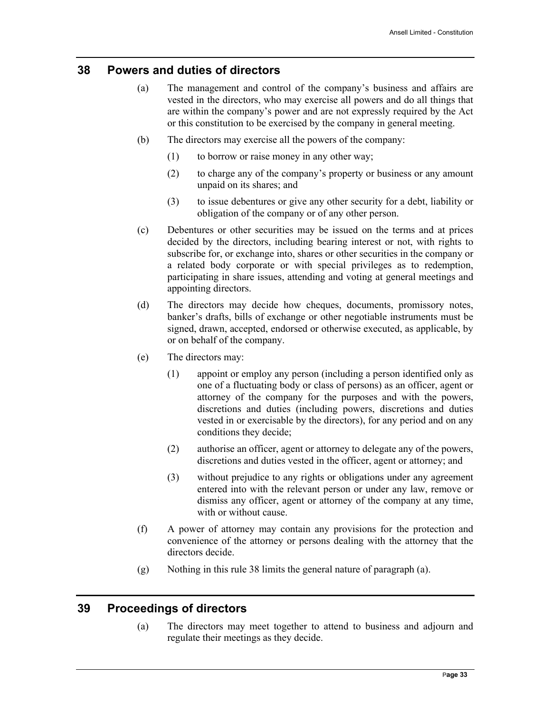#### **38 Powers and duties of directors**

- (a) The management and control of the company's business and affairs are vested in the directors, who may exercise all powers and do all things that are within the company's power and are not expressly required by the Act or this constitution to be exercised by the company in general meeting.
- (b) The directors may exercise all the powers of the company:
	- (1) to borrow or raise money in any other way;
	- (2) to charge any of the company's property or business or any amount unpaid on its shares; and
	- (3) to issue debentures or give any other security for a debt, liability or obligation of the company or of any other person.
- (c) Debentures or other securities may be issued on the terms and at prices decided by the directors, including bearing interest or not, with rights to subscribe for, or exchange into, shares or other securities in the company or a related body corporate or with special privileges as to redemption, participating in share issues, attending and voting at general meetings and appointing directors.
- (d) The directors may decide how cheques, documents, promissory notes, banker's drafts, bills of exchange or other negotiable instruments must be signed, drawn, accepted, endorsed or otherwise executed, as applicable, by or on behalf of the company.
- (e) The directors may:
	- (1) appoint or employ any person (including a person identified only as one of a fluctuating body or class of persons) as an officer, agent or attorney of the company for the purposes and with the powers, discretions and duties (including powers, discretions and duties vested in or exercisable by the directors), for any period and on any conditions they decide;
	- (2) authorise an officer, agent or attorney to delegate any of the powers, discretions and duties vested in the officer, agent or attorney; and
	- (3) without prejudice to any rights or obligations under any agreement entered into with the relevant person or under any law, remove or dismiss any officer, agent or attorney of the company at any time, with or without cause.
- (f) A power of attorney may contain any provisions for the protection and convenience of the attorney or persons dealing with the attorney that the directors decide.
- (g) Nothing in this rule 38 limits the general nature of paragraph (a).

# **39 Proceedings of directors**

(a) The directors may meet together to attend to business and adjourn and regulate their meetings as they decide.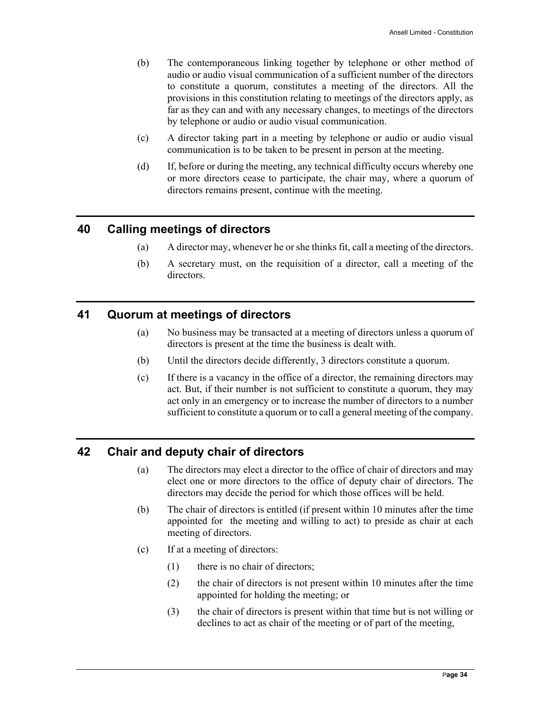- (b) The contemporaneous linking together by telephone or other method of audio or audio visual communication of a sufficient number of the directors to constitute a quorum, constitutes a meeting of the directors. All the provisions in this constitution relating to meetings of the directors apply, as far as they can and with any necessary changes, to meetings of the directors by telephone or audio or audio visual communication.
- (c) A director taking part in a meeting by telephone or audio or audio visual communication is to be taken to be present in person at the meeting.
- (d) If, before or during the meeting, any technical difficulty occurs whereby one or more directors cease to participate, the chair may, where a quorum of directors remains present, continue with the meeting.

# **40 Calling meetings of directors**

- (a) A director may, whenever he or she thinks fit, call a meeting of the directors.
- (b) A secretary must, on the requisition of a director, call a meeting of the directors.

#### **41 Quorum at meetings of directors**

- (a) No business may be transacted at a meeting of directors unless a quorum of directors is present at the time the business is dealt with.
- (b) Until the directors decide differently, 3 directors constitute a quorum.
- (c) If there is a vacancy in the office of a director, the remaining directors may act. But, if their number is not sufficient to constitute a quorum, they may act only in an emergency or to increase the number of directors to a number sufficient to constitute a quorum or to call a general meeting of the company.

# **42 Chair and deputy chair of directors**

- (a) The directors may elect a director to the office of chair of directors and may elect one or more directors to the office of deputy chair of directors. The directors may decide the period for which those offices will be held.
- (b) The chair of directors is entitled (if present within 10 minutes after the time appointed for the meeting and willing to act) to preside as chair at each meeting of directors.
- (c) If at a meeting of directors:
	- (1) there is no chair of directors;
	- (2) the chair of directors is not present within 10 minutes after the time appointed for holding the meeting; or
	- (3) the chair of directors is present within that time but is not willing or declines to act as chair of the meeting or of part of the meeting,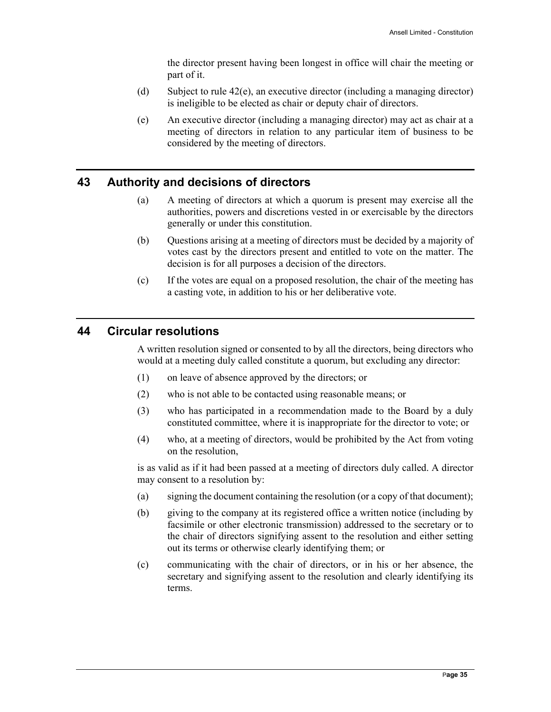the director present having been longest in office will chair the meeting or part of it.

- (d) Subject to rule 42(e), an executive director (including a managing director) is ineligible to be elected as chair or deputy chair of directors.
- (e) An executive director (including a managing director) may act as chair at a meeting of directors in relation to any particular item of business to be considered by the meeting of directors.

# **43 Authority and decisions of directors**

- (a) A meeting of directors at which a quorum is present may exercise all the authorities, powers and discretions vested in or exercisable by the directors generally or under this constitution.
- (b) Questions arising at a meeting of directors must be decided by a majority of votes cast by the directors present and entitled to vote on the matter. The decision is for all purposes a decision of the directors.
- (c) If the votes are equal on a proposed resolution, the chair of the meeting has a casting vote, in addition to his or her deliberative vote.

# **44 Circular resolutions**

A written resolution signed or consented to by all the directors, being directors who would at a meeting duly called constitute a quorum, but excluding any director:

- (1) on leave of absence approved by the directors; or
- (2) who is not able to be contacted using reasonable means; or
- (3) who has participated in a recommendation made to the Board by a duly constituted committee, where it is inappropriate for the director to vote; or
- (4) who, at a meeting of directors, would be prohibited by the Act from voting on the resolution,

is as valid as if it had been passed at a meeting of directors duly called. A director may consent to a resolution by:

- (a) signing the document containing the resolution (or a copy of that document);
- (b) giving to the company at its registered office a written notice (including by facsimile or other electronic transmission) addressed to the secretary or to the chair of directors signifying assent to the resolution and either setting out its terms or otherwise clearly identifying them; or
- (c) communicating with the chair of directors, or in his or her absence, the secretary and signifying assent to the resolution and clearly identifying its terms.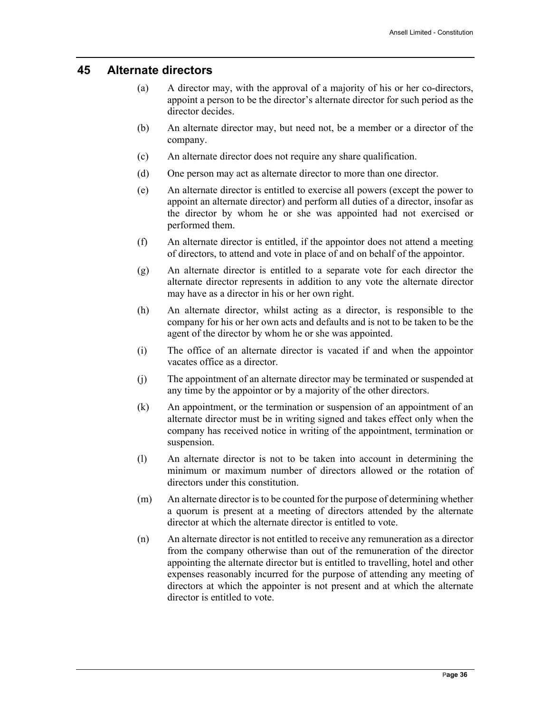#### **45 Alternate directors**

- (a) A director may, with the approval of a majority of his or her co-directors, appoint a person to be the director's alternate director for such period as the director decides.
- (b) An alternate director may, but need not, be a member or a director of the company.
- (c) An alternate director does not require any share qualification.
- (d) One person may act as alternate director to more than one director.
- (e) An alternate director is entitled to exercise all powers (except the power to appoint an alternate director) and perform all duties of a director, insofar as the director by whom he or she was appointed had not exercised or performed them.
- (f) An alternate director is entitled, if the appointor does not attend a meeting of directors, to attend and vote in place of and on behalf of the appointor.
- (g) An alternate director is entitled to a separate vote for each director the alternate director represents in addition to any vote the alternate director may have as a director in his or her own right.
- (h) An alternate director, whilst acting as a director, is responsible to the company for his or her own acts and defaults and is not to be taken to be the agent of the director by whom he or she was appointed.
- (i) The office of an alternate director is vacated if and when the appointor vacates office as a director.
- (j) The appointment of an alternate director may be terminated or suspended at any time by the appointor or by a majority of the other directors.
- (k) An appointment, or the termination or suspension of an appointment of an alternate director must be in writing signed and takes effect only when the company has received notice in writing of the appointment, termination or suspension.
- (l) An alternate director is not to be taken into account in determining the minimum or maximum number of directors allowed or the rotation of directors under this constitution.
- (m) An alternate director is to be counted for the purpose of determining whether a quorum is present at a meeting of directors attended by the alternate director at which the alternate director is entitled to vote.
- (n) An alternate director is not entitled to receive any remuneration as a director from the company otherwise than out of the remuneration of the director appointing the alternate director but is entitled to travelling, hotel and other expenses reasonably incurred for the purpose of attending any meeting of directors at which the appointer is not present and at which the alternate director is entitled to vote.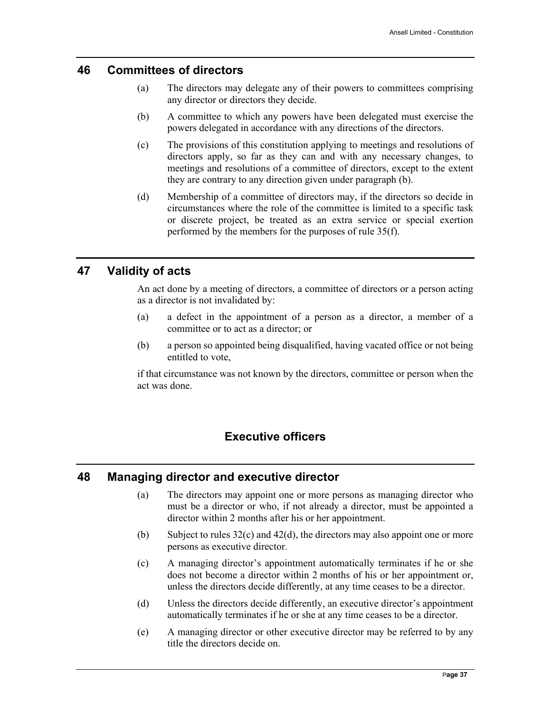#### **46 Committees of directors**

- (a) The directors may delegate any of their powers to committees comprising any director or directors they decide.
- (b) A committee to which any powers have been delegated must exercise the powers delegated in accordance with any directions of the directors.
- (c) The provisions of this constitution applying to meetings and resolutions of directors apply, so far as they can and with any necessary changes, to meetings and resolutions of a committee of directors, except to the extent they are contrary to any direction given under paragraph (b).
- (d) Membership of a committee of directors may, if the directors so decide in circumstances where the role of the committee is limited to a specific task or discrete project, be treated as an extra service or special exertion performed by the members for the purposes of rule 35(f).

# **47 Validity of acts**

An act done by a meeting of directors, a committee of directors or a person acting as a director is not invalidated by:

- (a) a defect in the appointment of a person as a director, a member of a committee or to act as a director; or
- (b) a person so appointed being disqualified, having vacated office or not being entitled to vote,

if that circumstance was not known by the directors, committee or person when the act was done.

# **Executive officers**

# **48 Managing director and executive director**

- (a) The directors may appoint one or more persons as managing director who must be a director or who, if not already a director, must be appointed a director within 2 months after his or her appointment.
- (b) Subject to rules 32(c) and 42(d), the directors may also appoint one or more persons as executive director.
- (c) A managing director's appointment automatically terminates if he or she does not become a director within 2 months of his or her appointment or, unless the directors decide differently, at any time ceases to be a director.
- (d) Unless the directors decide differently, an executive director's appointment automatically terminates if he or she at any time ceases to be a director.
- (e) A managing director or other executive director may be referred to by any title the directors decide on.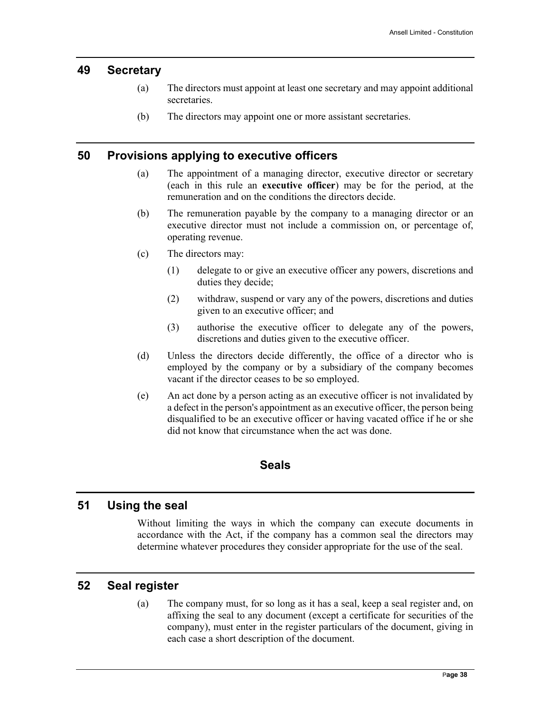#### **49 Secretary**

- (a) The directors must appoint at least one secretary and may appoint additional secretaries.
- (b) The directors may appoint one or more assistant secretaries.

#### **50 Provisions applying to executive officers**

- (a) The appointment of a managing director, executive director or secretary (each in this rule an **executive officer**) may be for the period, at the remuneration and on the conditions the directors decide.
- (b) The remuneration payable by the company to a managing director or an executive director must not include a commission on, or percentage of, operating revenue.
- (c) The directors may:
	- (1) delegate to or give an executive officer any powers, discretions and duties they decide;
	- (2) withdraw, suspend or vary any of the powers, discretions and duties given to an executive officer; and
	- (3) authorise the executive officer to delegate any of the powers, discretions and duties given to the executive officer.
- (d) Unless the directors decide differently, the office of a director who is employed by the company or by a subsidiary of the company becomes vacant if the director ceases to be so employed.
- (e) An act done by a person acting as an executive officer is not invalidated by a defect in the person's appointment as an executive officer, the person being disqualified to be an executive officer or having vacated office if he or she did not know that circumstance when the act was done.

#### **Seals**

# **51 Using the seal**

Without limiting the ways in which the company can execute documents in accordance with the Act, if the company has a common seal the directors may determine whatever procedures they consider appropriate for the use of the seal.

#### **52 Seal register**

(a) The company must, for so long as it has a seal, keep a seal register and, on affixing the seal to any document (except a certificate for securities of the company), must enter in the register particulars of the document, giving in each case a short description of the document.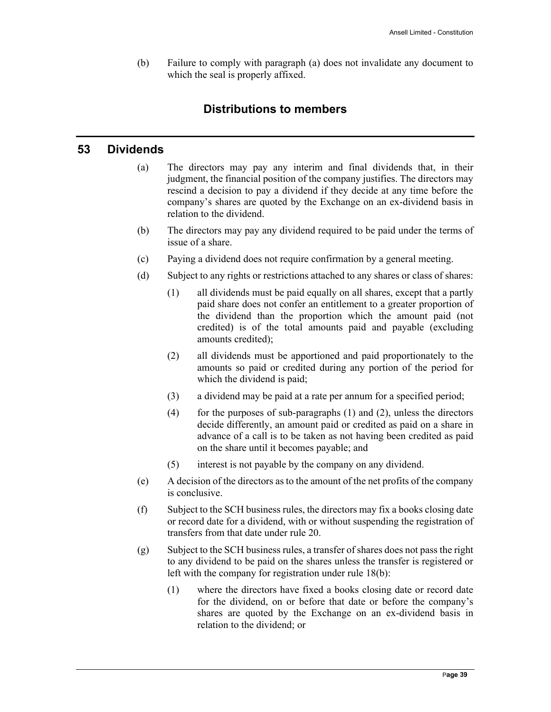(b) Failure to comply with paragraph (a) does not invalidate any document to which the seal is properly affixed.

# **Distributions to members**

# **53 Dividends**

- (a) The directors may pay any interim and final dividends that, in their judgment, the financial position of the company justifies. The directors may rescind a decision to pay a dividend if they decide at any time before the company's shares are quoted by the Exchange on an ex-dividend basis in relation to the dividend.
- (b) The directors may pay any dividend required to be paid under the terms of issue of a share.
- (c) Paying a dividend does not require confirmation by a general meeting.
- (d) Subject to any rights or restrictions attached to any shares or class of shares:
	- (1) all dividends must be paid equally on all shares, except that a partly paid share does not confer an entitlement to a greater proportion of the dividend than the proportion which the amount paid (not credited) is of the total amounts paid and payable (excluding amounts credited);
	- (2) all dividends must be apportioned and paid proportionately to the amounts so paid or credited during any portion of the period for which the dividend is paid;
	- (3) a dividend may be paid at a rate per annum for a specified period;
	- (4) for the purposes of sub-paragraphs  $(1)$  and  $(2)$ , unless the directors decide differently, an amount paid or credited as paid on a share in advance of a call is to be taken as not having been credited as paid on the share until it becomes payable; and
	- (5) interest is not payable by the company on any dividend.
- (e) A decision of the directors as to the amount of the net profits of the company is conclusive.
- (f) Subject to the SCH business rules, the directors may fix a books closing date or record date for a dividend, with or without suspending the registration of transfers from that date under rule 20.
- (g) Subject to the SCH business rules, a transfer of shares does not pass the right to any dividend to be paid on the shares unless the transfer is registered or left with the company for registration under rule 18(b):
	- (1) where the directors have fixed a books closing date or record date for the dividend, on or before that date or before the company's shares are quoted by the Exchange on an ex-dividend basis in relation to the dividend; or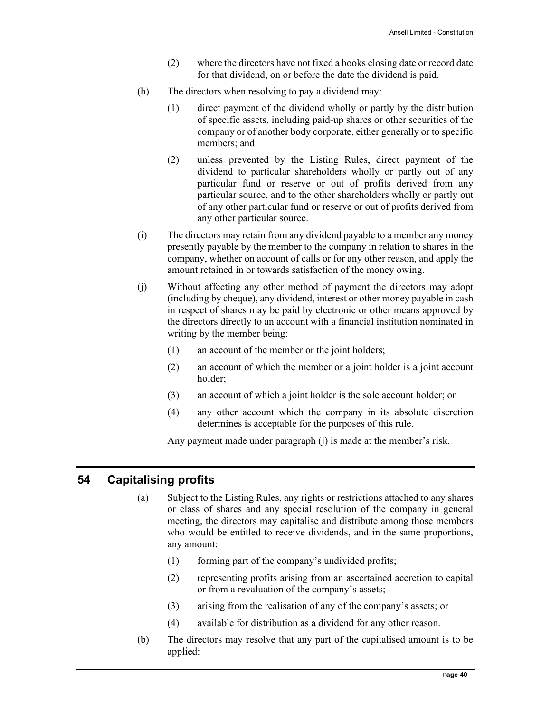- (2) where the directors have not fixed a books closing date or record date for that dividend, on or before the date the dividend is paid.
- (h) The directors when resolving to pay a dividend may:
	- (1) direct payment of the dividend wholly or partly by the distribution of specific assets, including paid-up shares or other securities of the company or of another body corporate, either generally or to specific members; and
	- (2) unless prevented by the Listing Rules, direct payment of the dividend to particular shareholders wholly or partly out of any particular fund or reserve or out of profits derived from any particular source, and to the other shareholders wholly or partly out of any other particular fund or reserve or out of profits derived from any other particular source.
- (i) The directors may retain from any dividend payable to a member any money presently payable by the member to the company in relation to shares in the company, whether on account of calls or for any other reason, and apply the amount retained in or towards satisfaction of the money owing.
- (j) Without affecting any other method of payment the directors may adopt (including by cheque), any dividend, interest or other money payable in cash in respect of shares may be paid by electronic or other means approved by the directors directly to an account with a financial institution nominated in writing by the member being:
	- (1) an account of the member or the joint holders;
	- (2) an account of which the member or a joint holder is a joint account holder;
	- (3) an account of which a joint holder is the sole account holder; or
	- (4) any other account which the company in its absolute discretion determines is acceptable for the purposes of this rule.

Any payment made under paragraph (j) is made at the member's risk.

#### **54 Capitalising profits**

- (a) Subject to the Listing Rules, any rights or restrictions attached to any shares or class of shares and any special resolution of the company in general meeting, the directors may capitalise and distribute among those members who would be entitled to receive dividends, and in the same proportions, any amount:
	- (1) forming part of the company's undivided profits;
	- (2) representing profits arising from an ascertained accretion to capital or from a revaluation of the company's assets;
	- (3) arising from the realisation of any of the company's assets; or
	- (4) available for distribution as a dividend for any other reason.
- (b) The directors may resolve that any part of the capitalised amount is to be applied: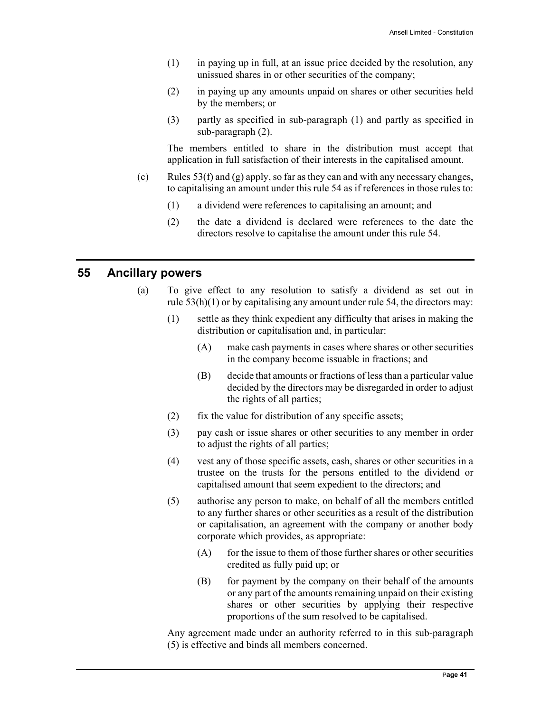- (1) in paying up in full, at an issue price decided by the resolution, any unissued shares in or other securities of the company;
- (2) in paying up any amounts unpaid on shares or other securities held by the members; or
- (3) partly as specified in sub-paragraph (1) and partly as specified in sub-paragraph (2).

The members entitled to share in the distribution must accept that application in full satisfaction of their interests in the capitalised amount.

- (c) Rules  $53(f)$  and (g) apply, so far as they can and with any necessary changes, to capitalising an amount under this rule 54 as if references in those rules to:
	- (1) a dividend were references to capitalising an amount; and
	- (2) the date a dividend is declared were references to the date the directors resolve to capitalise the amount under this rule 54.

#### **55 Ancillary powers**

- (a) To give effect to any resolution to satisfy a dividend as set out in rule  $53(h)(1)$  or by capitalising any amount under rule 54, the directors may:
	- (1) settle as they think expedient any difficulty that arises in making the distribution or capitalisation and, in particular:
		- (A) make cash payments in cases where shares or other securities in the company become issuable in fractions; and
		- (B) decide that amounts or fractions of less than a particular value decided by the directors may be disregarded in order to adjust the rights of all parties;
	- (2) fix the value for distribution of any specific assets;
	- (3) pay cash or issue shares or other securities to any member in order to adjust the rights of all parties;
	- (4) vest any of those specific assets, cash, shares or other securities in a trustee on the trusts for the persons entitled to the dividend or capitalised amount that seem expedient to the directors; and
	- (5) authorise any person to make, on behalf of all the members entitled to any further shares or other securities as a result of the distribution or capitalisation, an agreement with the company or another body corporate which provides, as appropriate:
		- $(A)$  for the issue to them of those further shares or other securities credited as fully paid up; or
		- (B) for payment by the company on their behalf of the amounts or any part of the amounts remaining unpaid on their existing shares or other securities by applying their respective proportions of the sum resolved to be capitalised.

Any agreement made under an authority referred to in this sub-paragraph (5) is effective and binds all members concerned.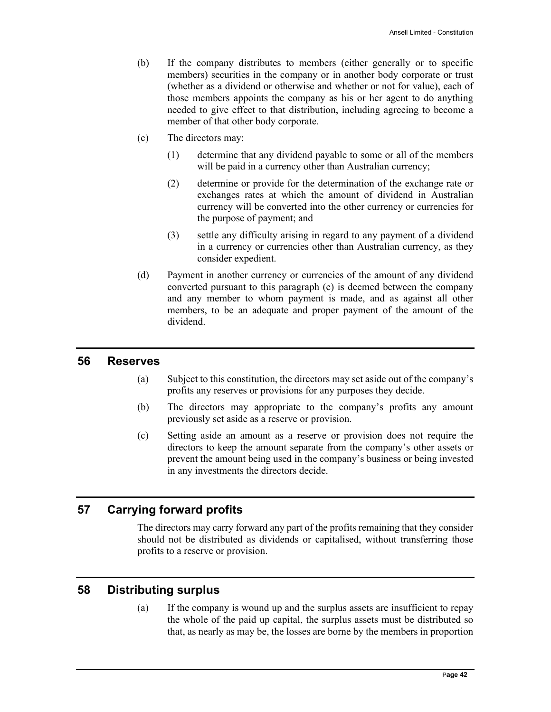- (b) If the company distributes to members (either generally or to specific members) securities in the company or in another body corporate or trust (whether as a dividend or otherwise and whether or not for value), each of those members appoints the company as his or her agent to do anything needed to give effect to that distribution, including agreeing to become a member of that other body corporate.
- (c) The directors may:
	- (1) determine that any dividend payable to some or all of the members will be paid in a currency other than Australian currency;
	- (2) determine or provide for the determination of the exchange rate or exchanges rates at which the amount of dividend in Australian currency will be converted into the other currency or currencies for the purpose of payment; and
	- (3) settle any difficulty arising in regard to any payment of a dividend in a currency or currencies other than Australian currency, as they consider expedient.
- (d) Payment in another currency or currencies of the amount of any dividend converted pursuant to this paragraph (c) is deemed between the company and any member to whom payment is made, and as against all other members, to be an adequate and proper payment of the amount of the dividend.

#### **56 Reserves**

- (a) Subject to this constitution, the directors may set aside out of the company's profits any reserves or provisions for any purposes they decide.
- (b) The directors may appropriate to the company's profits any amount previously set aside as a reserve or provision.
- (c) Setting aside an amount as a reserve or provision does not require the directors to keep the amount separate from the company's other assets or prevent the amount being used in the company's business or being invested in any investments the directors decide.

#### **57 Carrying forward profits**

The directors may carry forward any part of the profits remaining that they consider should not be distributed as dividends or capitalised, without transferring those profits to a reserve or provision.

#### **58 Distributing surplus**

(a) If the company is wound up and the surplus assets are insufficient to repay the whole of the paid up capital, the surplus assets must be distributed so that, as nearly as may be, the losses are borne by the members in proportion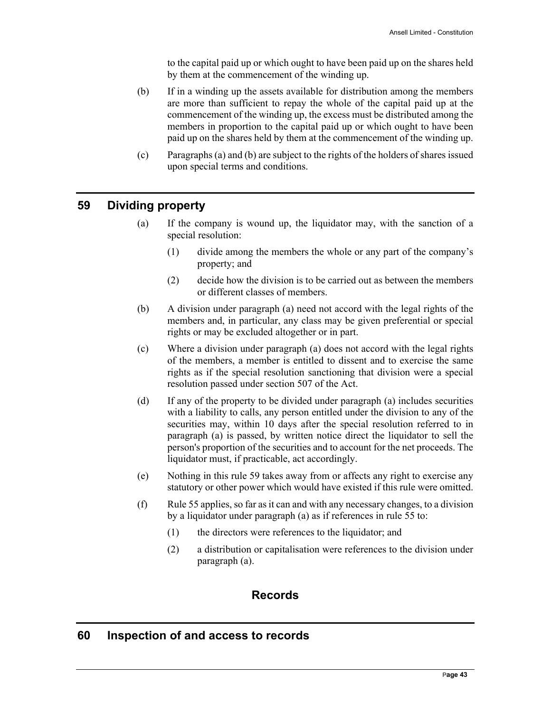to the capital paid up or which ought to have been paid up on the shares held by them at the commencement of the winding up.

- (b) If in a winding up the assets available for distribution among the members are more than sufficient to repay the whole of the capital paid up at the commencement of the winding up, the excess must be distributed among the members in proportion to the capital paid up or which ought to have been paid up on the shares held by them at the commencement of the winding up.
- (c) Paragraphs (a) and (b) are subject to the rights of the holders of shares issued upon special terms and conditions.

# **59 Dividing property**

- (a) If the company is wound up, the liquidator may, with the sanction of a special resolution:
	- (1) divide among the members the whole or any part of the company's property; and
	- (2) decide how the division is to be carried out as between the members or different classes of members.
- (b) A division under paragraph (a) need not accord with the legal rights of the members and, in particular, any class may be given preferential or special rights or may be excluded altogether or in part.
- (c) Where a division under paragraph (a) does not accord with the legal rights of the members, a member is entitled to dissent and to exercise the same rights as if the special resolution sanctioning that division were a special resolution passed under section 507 of the Act.
- (d) If any of the property to be divided under paragraph (a) includes securities with a liability to calls, any person entitled under the division to any of the securities may, within 10 days after the special resolution referred to in paragraph (a) is passed, by written notice direct the liquidator to sell the person's proportion of the securities and to account for the net proceeds. The liquidator must, if practicable, act accordingly.
- (e) Nothing in this rule 59 takes away from or affects any right to exercise any statutory or other power which would have existed if this rule were omitted.
- (f) Rule 55 applies, so far as it can and with any necessary changes, to a division by a liquidator under paragraph (a) as if references in rule 55 to:
	- (1) the directors were references to the liquidator; and
	- (2) a distribution or capitalisation were references to the division under paragraph (a).

# **Records**

#### **60 Inspection of and access to records**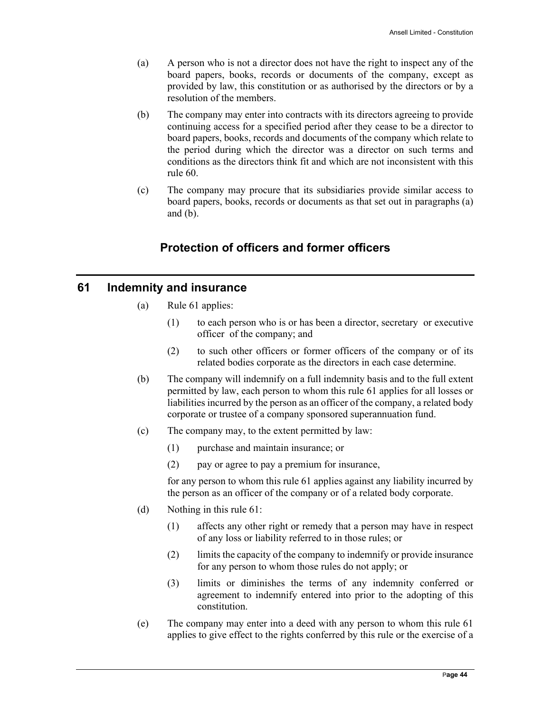- (a) A person who is not a director does not have the right to inspect any of the board papers, books, records or documents of the company, except as provided by law, this constitution or as authorised by the directors or by a resolution of the members.
- (b) The company may enter into contracts with its directors agreeing to provide continuing access for a specified period after they cease to be a director to board papers, books, records and documents of the company which relate to the period during which the director was a director on such terms and conditions as the directors think fit and which are not inconsistent with this rule 60.
- (c) The company may procure that its subsidiaries provide similar access to board papers, books, records or documents as that set out in paragraphs (a) and  $(b)$ .

# **Protection of officers and former officers**

# **61 Indemnity and insurance**

- (a) Rule 61 applies:
	- (1) to each person who is or has been a director, secretary or executive officer of the company; and
	- (2) to such other officers or former officers of the company or of its related bodies corporate as the directors in each case determine.
- (b) The company will indemnify on a full indemnity basis and to the full extent permitted by law, each person to whom this rule 61 applies for all losses or liabilities incurred by the person as an officer of the company, a related body corporate or trustee of a company sponsored superannuation fund.
- (c) The company may, to the extent permitted by law:
	- (1) purchase and maintain insurance; or
	- (2) pay or agree to pay a premium for insurance,

for any person to whom this rule 61 applies against any liability incurred by the person as an officer of the company or of a related body corporate.

- (d) Nothing in this rule 61:
	- (1) affects any other right or remedy that a person may have in respect of any loss or liability referred to in those rules; or
	- (2) limits the capacity of the company to indemnify or provide insurance for any person to whom those rules do not apply; or
	- (3) limits or diminishes the terms of any indemnity conferred or agreement to indemnify entered into prior to the adopting of this constitution.
- (e) The company may enter into a deed with any person to whom this rule 61 applies to give effect to the rights conferred by this rule or the exercise of a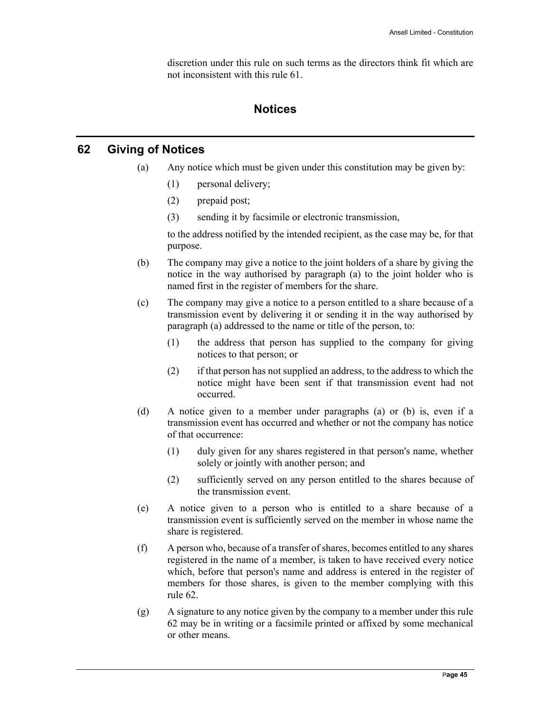discretion under this rule on such terms as the directors think fit which are not inconsistent with this rule 61.

# **Notices**

# **62 Giving of Notices**

- (a) Any notice which must be given under this constitution may be given by:
	- (1) personal delivery;
	- (2) prepaid post;
	- (3) sending it by facsimile or electronic transmission,

to the address notified by the intended recipient, as the case may be, for that purpose.

- (b) The company may give a notice to the joint holders of a share by giving the notice in the way authorised by paragraph (a) to the joint holder who is named first in the register of members for the share.
- (c) The company may give a notice to a person entitled to a share because of a transmission event by delivering it or sending it in the way authorised by paragraph (a) addressed to the name or title of the person, to:
	- (1) the address that person has supplied to the company for giving notices to that person; or
	- (2) if that person has not supplied an address, to the address to which the notice might have been sent if that transmission event had not occurred.
- (d) A notice given to a member under paragraphs (a) or (b) is, even if a transmission event has occurred and whether or not the company has notice of that occurrence:
	- (1) duly given for any shares registered in that person's name, whether solely or jointly with another person; and
	- (2) sufficiently served on any person entitled to the shares because of the transmission event.
- (e) A notice given to a person who is entitled to a share because of a transmission event is sufficiently served on the member in whose name the share is registered.
- (f) A person who, because of a transfer of shares, becomes entitled to any shares registered in the name of a member, is taken to have received every notice which, before that person's name and address is entered in the register of members for those shares, is given to the member complying with this rule 62.
- (g) A signature to any notice given by the company to a member under this rule 62 may be in writing or a facsimile printed or affixed by some mechanical or other means.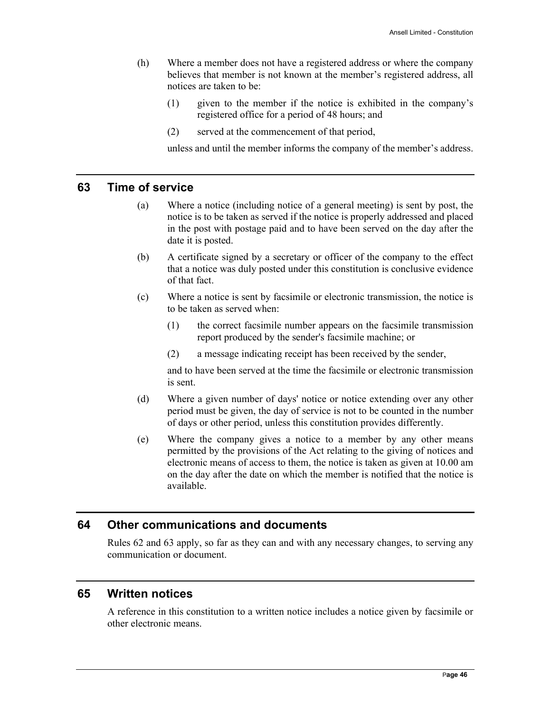- (h) Where a member does not have a registered address or where the company believes that member is not known at the member's registered address, all notices are taken to be:
	- (1) given to the member if the notice is exhibited in the company's registered office for a period of 48 hours; and
	- (2) served at the commencement of that period,

unless and until the member informs the company of the member's address.

#### **63 Time of service**

- (a) Where a notice (including notice of a general meeting) is sent by post, the notice is to be taken as served if the notice is properly addressed and placed in the post with postage paid and to have been served on the day after the date it is posted.
- (b) A certificate signed by a secretary or officer of the company to the effect that a notice was duly posted under this constitution is conclusive evidence of that fact.
- (c) Where a notice is sent by facsimile or electronic transmission, the notice is to be taken as served when:
	- (1) the correct facsimile number appears on the facsimile transmission report produced by the sender's facsimile machine; or
	- (2) a message indicating receipt has been received by the sender,

and to have been served at the time the facsimile or electronic transmission is sent.

- (d) Where a given number of days' notice or notice extending over any other period must be given, the day of service is not to be counted in the number of days or other period, unless this constitution provides differently.
- (e) Where the company gives a notice to a member by any other means permitted by the provisions of the Act relating to the giving of notices and electronic means of access to them, the notice is taken as given at 10.00 am on the day after the date on which the member is notified that the notice is available.

#### **64 Other communications and documents**

Rules 62 and 63 apply, so far as they can and with any necessary changes, to serving any communication or document.

#### **65 Written notices**

A reference in this constitution to a written notice includes a notice given by facsimile or other electronic means.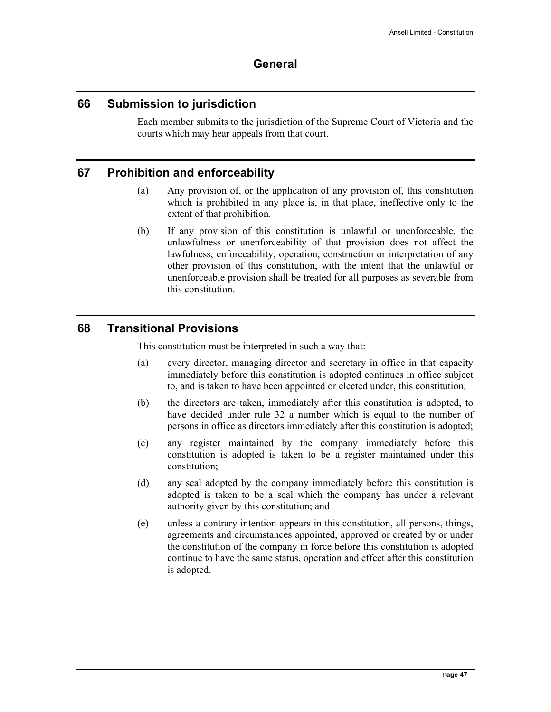# **General**

#### **66 Submission to jurisdiction**

Each member submits to the jurisdiction of the Supreme Court of Victoria and the courts which may hear appeals from that court.

# **67 Prohibition and enforceability**

- (a) Any provision of, or the application of any provision of, this constitution which is prohibited in any place is, in that place, ineffective only to the extent of that prohibition.
- (b) If any provision of this constitution is unlawful or unenforceable, the unlawfulness or unenforceability of that provision does not affect the lawfulness, enforceability, operation, construction or interpretation of any other provision of this constitution, with the intent that the unlawful or unenforceable provision shall be treated for all purposes as severable from this constitution.

# **68 Transitional Provisions**

This constitution must be interpreted in such a way that:

- (a) every director, managing director and secretary in office in that capacity immediately before this constitution is adopted continues in office subject to, and is taken to have been appointed or elected under, this constitution;
- (b) the directors are taken, immediately after this constitution is adopted, to have decided under rule 32 a number which is equal to the number of persons in office as directors immediately after this constitution is adopted;
- (c) any register maintained by the company immediately before this constitution is adopted is taken to be a register maintained under this constitution;
- (d) any seal adopted by the company immediately before this constitution is adopted is taken to be a seal which the company has under a relevant authority given by this constitution; and
- (e) unless a contrary intention appears in this constitution, all persons, things, agreements and circumstances appointed, approved or created by or under the constitution of the company in force before this constitution is adopted continue to have the same status, operation and effect after this constitution is adopted.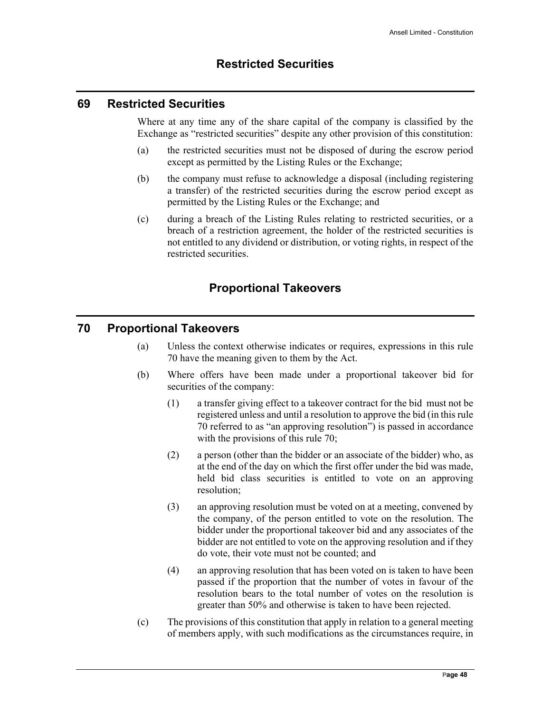#### **69 Restricted Securities**

Where at any time any of the share capital of the company is classified by the Exchange as "restricted securities" despite any other provision of this constitution:

- (a) the restricted securities must not be disposed of during the escrow period except as permitted by the Listing Rules or the Exchange;
- (b) the company must refuse to acknowledge a disposal (including registering a transfer) of the restricted securities during the escrow period except as permitted by the Listing Rules or the Exchange; and
- (c) during a breach of the Listing Rules relating to restricted securities, or a breach of a restriction agreement, the holder of the restricted securities is not entitled to any dividend or distribution, or voting rights, in respect of the restricted securities.

# **Proportional Takeovers**

#### **70 Proportional Takeovers**

- (a) Unless the context otherwise indicates or requires, expressions in this rule 70 have the meaning given to them by the Act.
- (b) Where offers have been made under a proportional takeover bid for securities of the company:
	- (1) a transfer giving effect to a takeover contract for the bid must not be registered unless and until a resolution to approve the bid (in this rule 70 referred to as "an approving resolution") is passed in accordance with the provisions of this rule 70;
	- (2) a person (other than the bidder or an associate of the bidder) who, as at the end of the day on which the first offer under the bid was made, held bid class securities is entitled to vote on an approving resolution;
	- (3) an approving resolution must be voted on at a meeting, convened by the company, of the person entitled to vote on the resolution. The bidder under the proportional takeover bid and any associates of the bidder are not entitled to vote on the approving resolution and if they do vote, their vote must not be counted; and
	- (4) an approving resolution that has been voted on is taken to have been passed if the proportion that the number of votes in favour of the resolution bears to the total number of votes on the resolution is greater than 50% and otherwise is taken to have been rejected.
- (c) The provisions of this constitution that apply in relation to a general meeting of members apply, with such modifications as the circumstances require, in